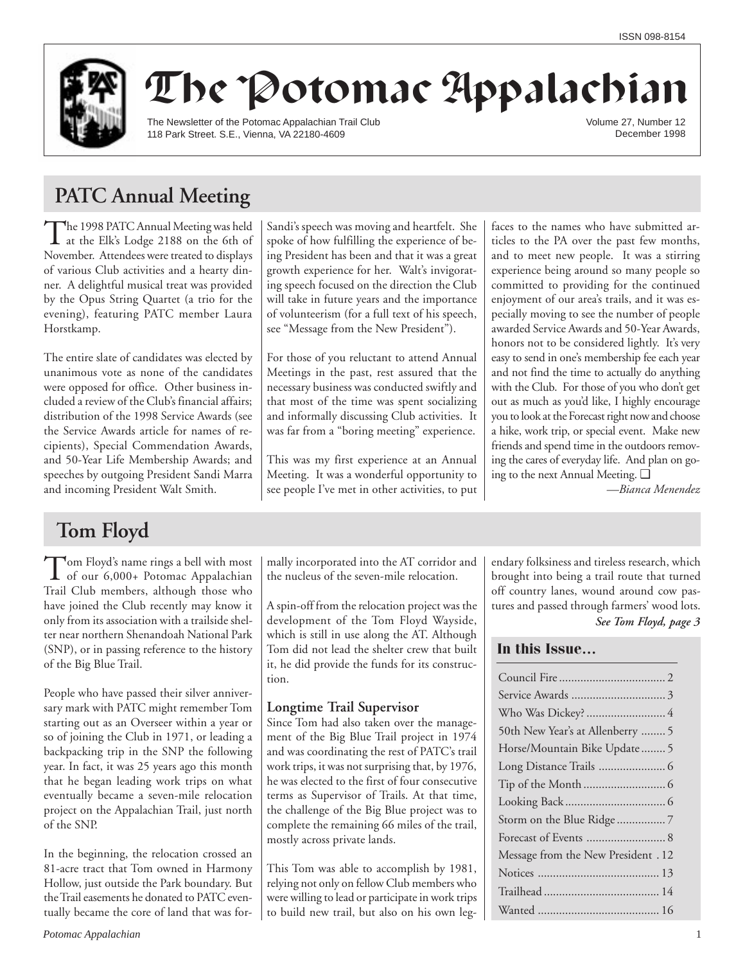

# The Potomac Appalachian

The Newsletter of the Potomac Appalachian Trail Club 118 Park Street. S.E., Vienna, VA 22180-4609

Volume 27, Number 12 December 1998

## **PATC Annual Meeting**

The 1998 PATC Annual Meeting was held<br>at the Elk's Lodge 2188 on the 6th of November. Attendees were treated to displays of various Club activities and a hearty dinner. A delightful musical treat was provided by the Opus String Quartet (a trio for the evening), featuring PATC member Laura Horstkamp.

The entire slate of candidates was elected by unanimous vote as none of the candidates were opposed for office. Other business included a review of the Club's financial affairs; distribution of the 1998 Service Awards (see the Service Awards article for names of recipients), Special Commendation Awards, and 50-Year Life Membership Awards; and speeches by outgoing President Sandi Marra and incoming President Walt Smith.

Sandi's speech was moving and heartfelt. She spoke of how fulfilling the experience of being President has been and that it was a great growth experience for her. Walt's invigorating speech focused on the direction the Club will take in future years and the importance of volunteerism (for a full text of his speech, see "Message from the New President").

For those of you reluctant to attend Annual Meetings in the past, rest assured that the necessary business was conducted swiftly and that most of the time was spent socializing and informally discussing Club activities. It was far from a "boring meeting" experience.

This was my first experience at an Annual Meeting. It was a wonderful opportunity to see people I've met in other activities, to put faces to the names who have submitted articles to the PA over the past few months, and to meet new people. It was a stirring experience being around so many people so committed to providing for the continued enjoyment of our area's trails, and it was especially moving to see the number of people awarded Service Awards and 50-Year Awards, honors not to be considered lightly. It's very easy to send in one's membership fee each year and not find the time to actually do anything with the Club. For those of you who don't get out as much as you'd like, I highly encourage you to look at the Forecast right now and choose a hike, work trip, or special event. Make new friends and spend time in the outdoors removing the cares of everyday life. And plan on going to the next Annual Meeting. ❑

*—Bianca Menendez*

## **Tom Floyd**

Tom Floyd's name rings a bell with most<br>of our 6,000+ Potomac Appalachian Trail Club members, although those who have joined the Club recently may know it only from its association with a trailside shelter near northern Shenandoah National Park (SNP), or in passing reference to the history of the Big Blue Trail.

People who have passed their silver anniversary mark with PATC might remember Tom starting out as an Overseer within a year or so of joining the Club in 1971, or leading a backpacking trip in the SNP the following year. In fact, it was 25 years ago this month that he began leading work trips on what eventually became a seven-mile relocation project on the Appalachian Trail, just north of the SNP.

In the beginning, the relocation crossed an 81-acre tract that Tom owned in Harmony Hollow, just outside the Park boundary. But the Trail easements he donated to PATC eventually became the core of land that was formally incorporated into the AT corridor and the nucleus of the seven-mile relocation.

A spin-off from the relocation project was the development of the Tom Floyd Wayside, which is still in use along the AT. Although Tom did not lead the shelter crew that built it, he did provide the funds for its construction.

## **Longtime Trail Supervisor**

Since Tom had also taken over the management of the Big Blue Trail project in 1974 and was coordinating the rest of PATC's trail work trips, it was not surprising that, by 1976, he was elected to the first of four consecutive terms as Supervisor of Trails. At that time, the challenge of the Big Blue project was to complete the remaining 66 miles of the trail, mostly across private lands.

This Tom was able to accomplish by 1981, relying not only on fellow Club members who were willing to lead or participate in work trips to build new trail, but also on his own legendary folksiness and tireless research, which brought into being a trail route that turned off country lanes, wound around cow pastures and passed through farmers' wood lots.

## *See Tom Floyd, page 3*

## **In this Issue…**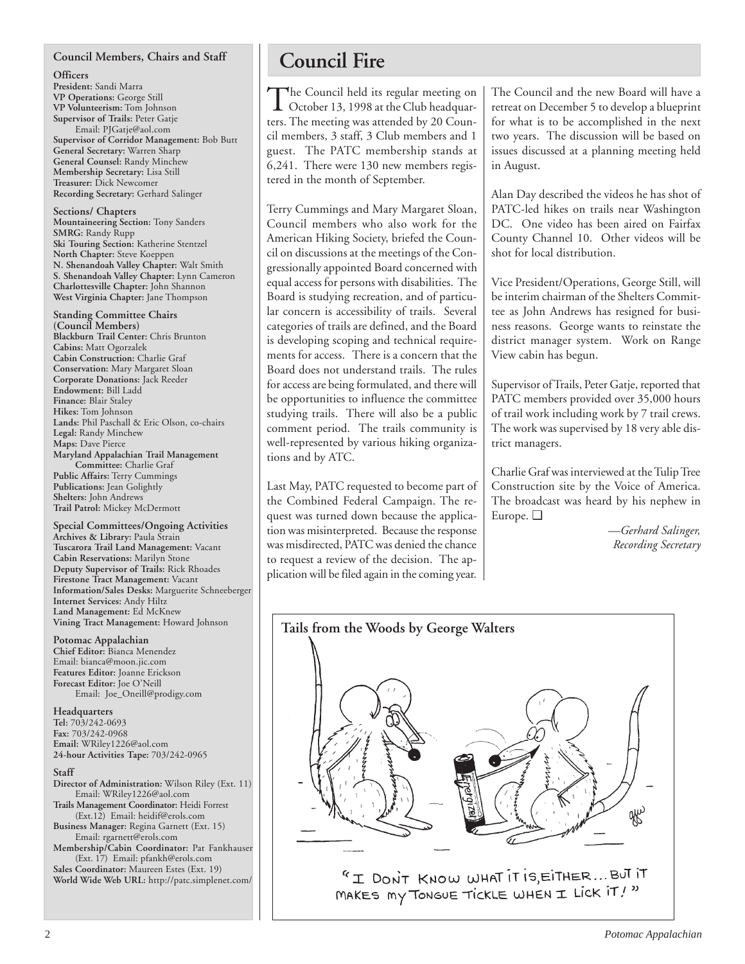## **Council Members, Chairs and Staff**

**Officers President:** Sandi Marra **VP Operations:** George Still **VP Volunteerism:** Tom Johnson **Supervisor of Trails:** Peter Gatje Email: PJGatje@aol.com **Supervisor of Corridor Management:** Bob Butt **General Secretary:** Warren Sharp **General Counsel:** Randy Minchew **Membership Secretary:** Lisa Still **Treasurer:** Dick Newcomer **Recording Secretary:** Gerhard Salinger

**Sections/ Chapters Mountaineering Section:** Tony Sanders **SMRG:** Randy Rupp **Ski Touring Section:** Katherine Stentzel **North Chapter:** Steve Koeppen **N. Shenandoah Valley Chapter:** Walt Smith **S. Shenandoah Valley Chapter:** Lynn Cameron **Charlottesville Chapter:** John Shannon **West Virginia Chapter:** Jane Thompson

**Standing Committee Chairs (Council Members) Blackburn Trail Center:** Chris Brunton **Cabins:** Matt Ogorzalek **Cabin Construction:** Charlie Graf **Conservation:** Mary Margaret Sloan **Corporate Donations:** Jack Reeder **Endowment:** Bill Ladd **Finance:** Blair Staley **Hikes:** Tom Johnson **Lands:** Phil Paschall & Eric Olson, co-chairs **Legal:** Randy Minchew **Maps:** Dave Pierce **Maryland Appalachian Trail Management Committee:** Charlie Graf **Public Affairs:** Terry Cummings **Publications:** Jean Golightly **Shelters:** John Andrews **Trail Patrol:** Mickey McDermott

**Special Committees/Ongoing Activities Archives & Library:** Paula Strain **Tuscarora Trail Land Management:** Vacant **Cabin Reservations:** Marilyn Stone **Deputy Supervisor of Trails:** Rick Rhoades **Firestone Tract Management:** Vacant **Information/Sales Desks:** Marguerite Schneeberger **Internet Services:** Andy Hiltz **Land Management:** Ed McKnew **Vining Tract Management:** Howard Johnson

## **Potomac Appalachian**

**Chief Editor:** Bianca Menendez Email: bianca@moon.jic.com **Features Editor:** Joanne Erickson **Forecast Editor:** Joe O'Neill Email: Joe\_Oneill@prodigy.com

**Headquarters Tel:** 703/242-0693 **Fax:** 703/242-0968 **Email:** WRiley1226@aol.com **24-hour Activities Tape:** 703/242-0965

**Staff**

**Director of Administration:** Wilson Riley (Ext. 11) Email: WRiley1226@aol.com **Trails Management Coordinator:** Heidi Forrest (Ext.12) Email: heidif@erols.com **Business Manager:** Regina Garnett (Ext. 15) Email: rgarnett@erols.com

**Membership/Cabin Coordinator:** Pat Fankhauser (Ext. 17) Email: pfankh@erols.com **Sales Coordinator:** Maureen Estes (Ext. 19)

**World Wide Web URL:** http://patc.simplenet.com/

## **Council Fire**

The Council held its regular meeting on<br>October 13, 1998 at the Club headquarters. The meeting was attended by 20 Council members, 3 staff, 3 Club members and 1 guest. The PATC membership stands at 6,241. There were 130 new members registered in the month of September.

Terry Cummings and Mary Margaret Sloan, Council members who also work for the American Hiking Society, briefed the Council on discussions at the meetings of the Congressionally appointed Board concerned with equal access for persons with disabilities. The Board is studying recreation, and of particular concern is accessibility of trails. Several categories of trails are defined, and the Board is developing scoping and technical requirements for access. There is a concern that the Board does not understand trails. The rules for access are being formulated, and there will be opportunities to influence the committee studying trails. There will also be a public comment period. The trails community is well-represented by various hiking organizations and by ATC.

Last May, PATC requested to become part of the Combined Federal Campaign. The request was turned down because the application was misinterpreted. Because the response was misdirected, PATC was denied the chance to request a review of the decision. The application will be filed again in the coming year.

The Council and the new Board will have a retreat on December 5 to develop a blueprint for what is to be accomplished in the next two years. The discussion will be based on issues discussed at a planning meeting held in August.

Alan Day described the videos he has shot of PATC-led hikes on trails near Washington DC. One video has been aired on Fairfax County Channel 10. Other videos will be shot for local distribution.

Vice President/Operations, George Still, will be interim chairman of the Shelters Committee as John Andrews has resigned for business reasons. George wants to reinstate the district manager system. Work on Range View cabin has begun.

Supervisor of Trails, Peter Gatje, reported that PATC members provided over 35,000 hours of trail work including work by 7 trail crews. The work was supervised by 18 very able district managers.

Charlie Graf was interviewed at the Tulip Tree Construction site by the Voice of America. The broadcast was heard by his nephew in Europe. ❑

> *—Gerhard Salinger, Recording Secretary*

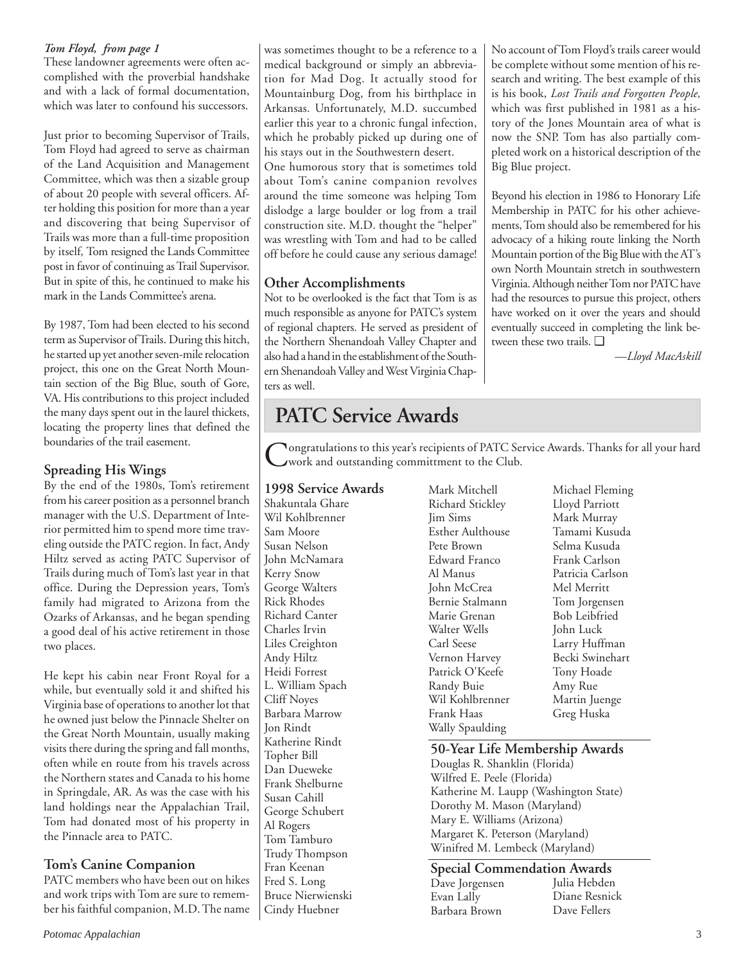## *Tom Floyd, from page 1*

These landowner agreements were often accomplished with the proverbial handshake and with a lack of formal documentation, which was later to confound his successors.

Just prior to becoming Supervisor of Trails, Tom Floyd had agreed to serve as chairman of the Land Acquisition and Management Committee, which was then a sizable group of about 20 people with several officers. After holding this position for more than a year and discovering that being Supervisor of Trails was more than a full-time proposition by itself, Tom resigned the Lands Committee post in favor of continuing as Trail Supervisor. But in spite of this, he continued to make his mark in the Lands Committee's arena.

By 1987, Tom had been elected to his second term as Supervisor of Trails. During this hitch, he started up yet another seven-mile relocation project, this one on the Great North Mountain section of the Big Blue, south of Gore, VA. His contributions to this project included the many days spent out in the laurel thickets, locating the property lines that defined the boundaries of the trail easement.

## **Spreading His Wings**

By the end of the 1980s, Tom's retirement from his career position as a personnel branch manager with the U.S. Department of Interior permitted him to spend more time traveling outside the PATC region. In fact, Andy Hiltz served as acting PATC Supervisor of Trails during much of Tom's last year in that office. During the Depression years, Tom's family had migrated to Arizona from the Ozarks of Arkansas, and he began spending a good deal of his active retirement in those two places.

He kept his cabin near Front Royal for a while, but eventually sold it and shifted his Virginia base of operations to another lot that he owned just below the Pinnacle Shelter on the Great North Mountain, usually making visits there during the spring and fall months, often while en route from his travels across the Northern states and Canada to his home in Springdale, AR. As was the case with his land holdings near the Appalachian Trail, Tom had donated most of his property in the Pinnacle area to PATC.

## **Tom's Canine Companion**

PATC members who have been out on hikes and work trips with Tom are sure to remember his faithful companion, M.D. The name

was sometimes thought to be a reference to a medical background or simply an abbreviation for Mad Dog. It actually stood for Mountainburg Dog, from his birthplace in Arkansas. Unfortunately, M.D. succumbed earlier this year to a chronic fungal infection, which he probably picked up during one of his stays out in the Southwestern desert.

One humorous story that is sometimes told about Tom's canine companion revolves around the time someone was helping Tom dislodge a large boulder or log from a trail construction site. M.D. thought the "helper" was wrestling with Tom and had to be called off before he could cause any serious damage!

## **Other Accomplishments**

Not to be overlooked is the fact that Tom is as much responsible as anyone for PATC's system of regional chapters. He served as president of the Northern Shenandoah Valley Chapter and also had a hand in the establishment of the Southern Shenandoah Valley and West Virginia Chapters as well.

## **PATC Service Awards**

**Nongratulations to this year's recipients of PATC Service Awards. Thanks for all your hard** work and outstanding committment to the Club.

## **1998 Service Awards**

Shakuntala Ghare Wil Kohlbrenner Sam Moore Susan Nelson John McNamara Kerry Snow George Walters Rick Rhodes Richard Canter Charles Irvin Liles Creighton Andy Hiltz Heidi Forrest L. William Spach Cliff Noyes Barbara Marrow Jon Rindt Katherine Rindt Topher Bill Dan Dueweke Frank Shelburne Susan Cahill George Schubert Al Rogers Tom Tamburo Trudy Thompson Fran Keenan Fred S. Long Bruce Nierwienski Cindy Huebner

Mark Mitchell Richard Stickley Jim Sims Esther Aulthouse Pete Brown Edward Franco Al Manus John McCrea Bernie Stalmann Marie Grenan Walter Wells Carl Seese Vernon Harvey Patrick O'Keefe Randy Buie Wil Kohlbrenner Frank Haas Wally Spaulding

Michael Fleming Lloyd Parriott Mark Murray Tamami Kusuda Selma Kusuda Frank Carlson Patricia Carlson Mel Merritt Tom Jorgensen Bob Leibfried John Luck Larry Huffman Becki Swinehart Tony Hoade Amy Rue Martin Juenge Greg Huska

## **50-Year Life Membership Awards**

Douglas R. Shanklin (Florida) Wilfred E. Peele (Florida) Katherine M. Laupp (Washington State) Dorothy M. Mason (Maryland) Mary E. Williams (Arizona) Margaret K. Peterson (Maryland) Winifred M. Lembeck (Maryland)

**Special Commendation Awards** Dave Jorgensen Evan Lally Barbara Brown Julia Hebden Diane Resnick Dave Fellers

No account of Tom Floyd's trails career would be complete without some mention of his research and writing. The best example of this is his book, *Lost Trails and Forgotten People,* which was first published in 1981 as a history of the Jones Mountain area of what is now the SNP. Tom has also partially completed work on a historical description of the Big Blue project.

Beyond his election in 1986 to Honorary Life Membership in PATC for his other achievements, Tom should also be remembered for his advocacy of a hiking route linking the North Mountain portion of the Big Blue with the AT's own North Mountain stretch in southwestern Virginia. Although neither Tom nor PATC have had the resources to pursue this project, others have worked on it over the years and should eventually succeed in completing the link between these two trails. ❑

*—Lloyd MacAskill*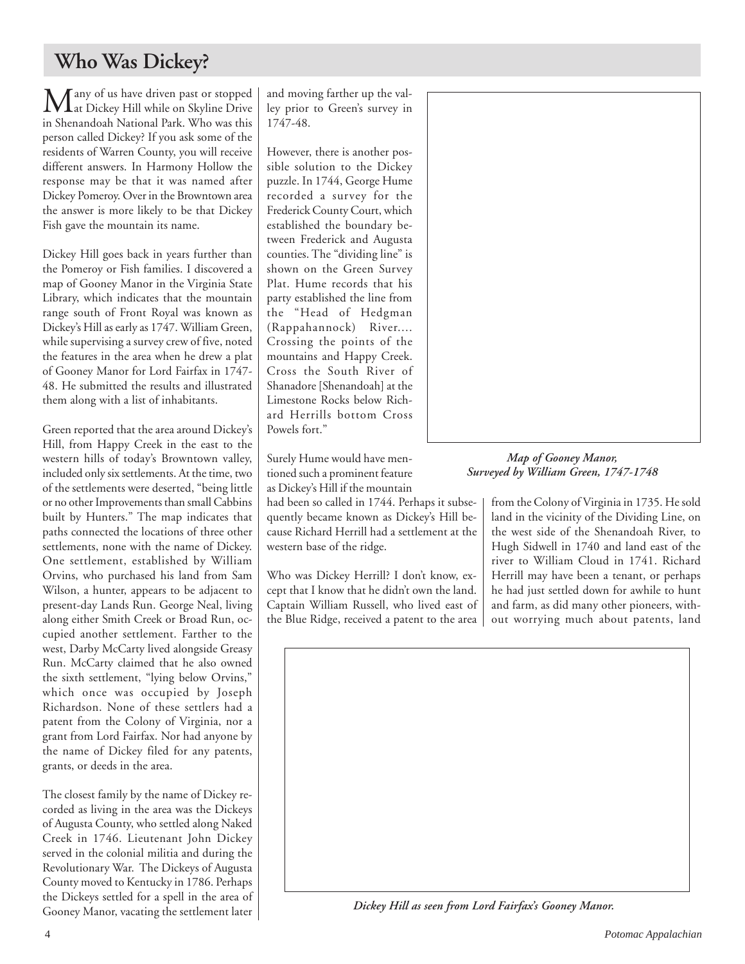## **Who Was Dickey?**

 $\sum$  any of us have driven past or stopped<br>in Dickey Hill while on Skyline Drive in Shenandoah National Park. Who was this person called Dickey? If you ask some of the residents of Warren County, you will receive different answers. In Harmony Hollow the response may be that it was named after Dickey Pomeroy. Over in the Browntown area the answer is more likely to be that Dickey Fish gave the mountain its name.

Dickey Hill goes back in years further than the Pomeroy or Fish families. I discovered a map of Gooney Manor in the Virginia State Library, which indicates that the mountain range south of Front Royal was known as Dickey's Hill as early as 1747. William Green, while supervising a survey crew of five, noted the features in the area when he drew a plat of Gooney Manor for Lord Fairfax in 1747- 48. He submitted the results and illustrated them along with a list of inhabitants.

Green reported that the area around Dickey's Hill, from Happy Creek in the east to the western hills of today's Browntown valley, included only six settlements. At the time, two of the settlements were deserted, "being little or no other Improvements than small Cabbins built by Hunters." The map indicates that paths connected the locations of three other settlements, none with the name of Dickey. One settlement, established by William Orvins, who purchased his land from Sam Wilson, a hunter, appears to be adjacent to present-day Lands Run. George Neal, living along either Smith Creek or Broad Run, occupied another settlement. Farther to the west, Darby McCarty lived alongside Greasy Run. McCarty claimed that he also owned the sixth settlement, "lying below Orvins," which once was occupied by Joseph Richardson. None of these settlers had a patent from the Colony of Virginia, nor a grant from Lord Fairfax. Nor had anyone by the name of Dickey filed for any patents, grants, or deeds in the area.

The closest family by the name of Dickey recorded as living in the area was the Dickeys of Augusta County, who settled along Naked Creek in 1746. Lieutenant John Dickey served in the colonial militia and during the Revolutionary War. The Dickeys of Augusta County moved to Kentucky in 1786. Perhaps the Dickeys settled for a spell in the area of Gooney Manor, vacating the settlement later and moving farther up the valley prior to Green's survey in 1747-48.

However, there is another possible solution to the Dickey puzzle. In 1744, George Hume recorded a survey for the Frederick County Court, which established the boundary between Frederick and Augusta counties. The "dividing line" is shown on the Green Survey Plat. Hume records that his party established the line from the "Head of Hedgman (Rappahannock) River.... Crossing the points of the mountains and Happy Creek. Cross the South River of Shanadore [Shenandoah] at the Limestone Rocks below Richard Herrills bottom Cross Powels fort."

Surely Hume would have mentioned such a prominent feature as Dickey's Hill if the mountain

had been so called in 1744. Perhaps it subsequently became known as Dickey's Hill because Richard Herrill had a settlement at the western base of the ridge.

Who was Dickey Herrill? I don't know, except that I know that he didn't own the land. Captain William Russell, who lived east of the Blue Ridge, received a patent to the area



*Map of Gooney Manor, Surveyed by William Green, 1747-1748*

from the Colony of Virginia in 1735. He sold land in the vicinity of the Dividing Line, on the west side of the Shenandoah River, to Hugh Sidwell in 1740 and land east of the river to William Cloud in 1741. Richard Herrill may have been a tenant, or perhaps he had just settled down for awhile to hunt and farm, as did many other pioneers, without worrying much about patents, land



*Dickey Hill as seen from Lord Fairfax's Gooney Manor.*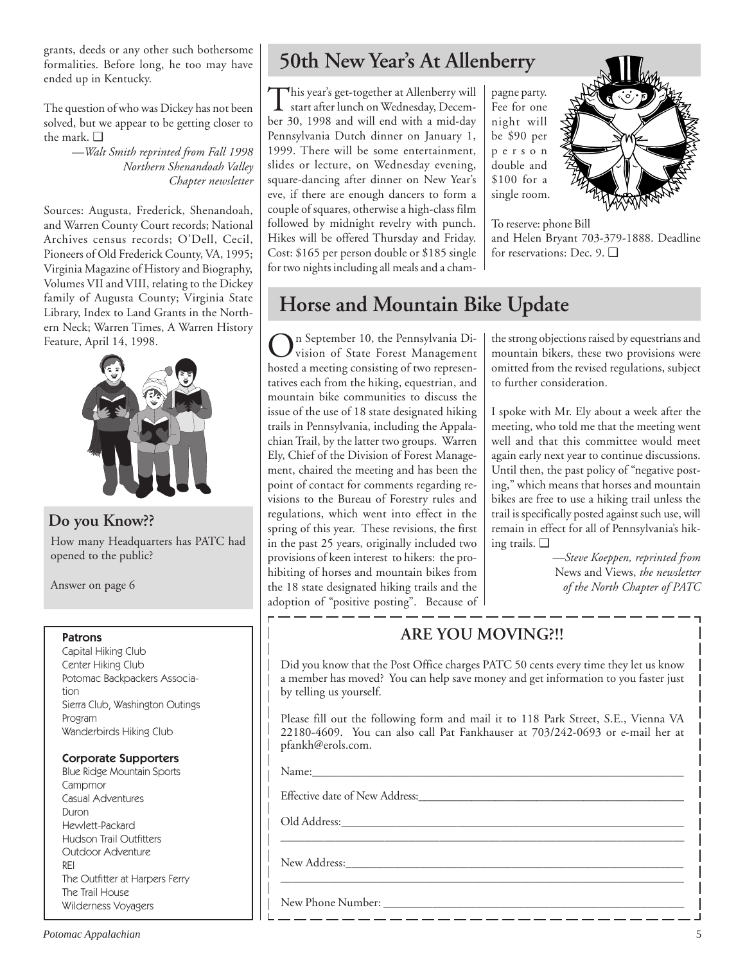grants, deeds or any other such bothersome formalities. Before long, he too may have ended up in Kentucky.

The question of who was Dickey has not been solved, but we appear to be getting closer to the mark. ❑

> *—Walt Smith reprinted from Fall 1998 Northern Shenandoah Valley Chapter newsletter*

Sources: Augusta, Frederick, Shenandoah, and Warren County Court records; National Archives census records; O'Dell, Cecil, Pioneers of Old Frederick County, VA, 1995; Virginia Magazine of History and Biography, Volumes VII and VIII, relating to the Dickey family of Augusta County; Virginia State Library, Index to Land Grants in the Northern Neck; Warren Times, A Warren History Feature, April 14, 1998.



**Do you Know??**

How many Headquarters has PATC had opened to the public?

Answer on page 6

## Patrons

Capital Hiking Club Center Hiking Club Potomac Backpackers Association Sierra Club, Washington Outings Program Wanderbirds Hiking Club

## Corporate Supporters

Blue Ridge Mountain Sports Campmor Casual Adventures Duron Hewlett-Packard Hudson Trail Outfitters Outdoor Adventure REI The Outfitter at Harpers Ferry The Trail House Wilderness Voyagers

## **50th New Year's At Allenberry**

This year's get-together at Allenberry will start after lunch on Wednesday, December 30, 1998 and will end with a mid-day Pennsylvania Dutch dinner on January 1, 1999. There will be some entertainment, slides or lecture, on Wednesday evening, square-dancing after dinner on New Year's eve, if there are enough dancers to form a couple of squares, otherwise a high-class film followed by midnight revelry with punch. Hikes will be offered Thursday and Friday. Cost: \$165 per person double or \$185 single for two nights including all meals and a champagne party. Fee for one night will be \$90 per person double and \$100 for a single room.



To reserve: phone Bill and Helen Bryant 703-379-1888. Deadline for reservations: Dec. 9. ❑

## **Horse and Mountain Bike Update**

On September 10, the Pennsylvania Di-vision of State Forest Management hosted a meeting consisting of two representatives each from the hiking, equestrian, and mountain bike communities to discuss the issue of the use of 18 state designated hiking trails in Pennsylvania, including the Appalachian Trail, by the latter two groups. Warren Ely, Chief of the Division of Forest Management, chaired the meeting and has been the point of contact for comments regarding revisions to the Bureau of Forestry rules and regulations, which went into effect in the spring of this year. These revisions, the first in the past 25 years, originally included two provisions of keen interest to hikers: the prohibiting of horses and mountain bikes from the 18 state designated hiking trails and the adoption of "positive posting". Because of the strong objections raised by equestrians and mountain bikers, these two provisions were omitted from the revised regulations, subject to further consideration.

I spoke with Mr. Ely about a week after the meeting, who told me that the meeting went well and that this committee would meet again early next year to continue discussions. Until then, the past policy of "negative posting," which means that horses and mountain bikes are free to use a hiking trail unless the trail is specifically posted against such use, will remain in effect for all of Pennsylvania's hiking trails. ❑

> *—Steve Koeppen, reprinted from* News and Views, *the newsletter of the North Chapter of PATC*

## **ARE YOU MOVING?!!**

Did you know that the Post Office charges PATC 50 cents every time they let us know a member has moved? You can help save money and get information to you faster just by telling us yourself.

Please fill out the following form and mail it to 118 Park Street, S.E., Vienna VA 22180-4609. You can also call Pat Fankhauser at 703/242-0693 or e-mail her at pfankh@erols.com.

\_\_\_\_\_\_\_\_\_\_\_\_\_\_\_\_\_\_\_\_\_\_\_\_\_\_\_\_\_\_\_\_\_\_\_\_\_\_\_\_\_\_\_\_\_\_\_\_\_\_\_\_\_\_\_\_\_\_\_\_\_\_\_\_\_\_

\_\_\_\_\_\_\_\_\_\_\_\_\_\_\_\_\_\_\_\_\_\_\_\_\_\_\_\_\_\_\_\_\_\_\_\_\_\_\_\_\_\_\_\_\_\_\_\_\_\_\_\_\_\_\_\_\_\_\_\_\_\_\_\_\_\_\_

Name:\_\_\_\_\_\_\_\_\_\_\_\_\_\_\_\_\_\_\_\_\_\_\_\_\_\_\_\_\_\_\_\_\_\_\_\_\_\_\_\_\_\_\_\_\_\_\_\_\_\_\_\_\_\_\_\_\_\_\_\_\_

Effective date of New Address:

Old Address:

New Address:\_\_\_\_\_\_\_\_\_\_\_\_\_\_\_\_\_\_\_\_\_\_\_\_\_\_\_\_\_\_\_\_\_\_\_\_\_\_\_\_\_\_\_\_\_\_\_\_\_\_\_\_\_\_\_

New Phone Number: \_\_\_\_\_\_\_\_\_\_\_\_\_\_\_\_\_\_\_\_\_\_\_\_\_\_\_\_\_\_\_\_\_\_\_\_\_\_\_\_\_\_\_\_\_\_\_\_\_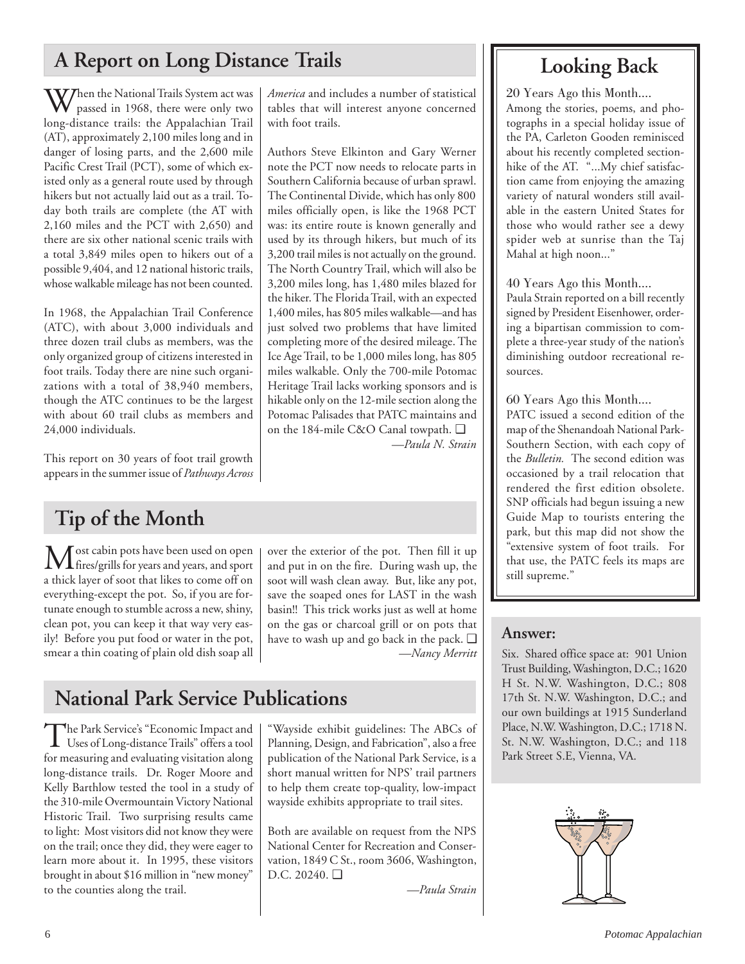## **A Report on Long Distance Trails Looking Back**

When the National Trails System act was passed in 1968, there were only two long-distance trails: the Appalachian Trail (AT), approximately 2,100 miles long and in danger of losing parts, and the 2,600 mile Pacific Crest Trail (PCT), some of which existed only as a general route used by through hikers but not actually laid out as a trail. Today both trails are complete (the AT with 2,160 miles and the PCT with 2,650) and there are six other national scenic trails with a total 3,849 miles open to hikers out of a possible 9,404, and 12 national historic trails, whose walkable mileage has not been counted.

In 1968, the Appalachian Trail Conference (ATC), with about 3,000 individuals and three dozen trail clubs as members, was the only organized group of citizens interested in foot trails. Today there are nine such organizations with a total of 38,940 members, though the ATC continues to be the largest with about 60 trail clubs as members and 24,000 individuals.

This report on 30 years of foot trail growth appears in the summer issue of *Pathways Across*

## **Tip of the Month**

 $\left[\text{M}\right]$  ost cabin pots have been used on open over the exterior of the pot. Then fill it up first extensive system of toot trails. For  $\left[\text{m}\right]$  first maps are  $\left[\text{m}\right]$  first maps are  $\left[\text{m}\right]$  first use, the P fires/grills for years and years, and sport a thick layer of soot that likes to come off on everything-except the pot. So, if you are fortunate enough to stumble across a new, shiny, clean pot, you can keep it that way very easily! Before you put food or water in the pot, smear a thin coating of plain old dish soap all

over the exterior of the pot. Then fill it up and put in on the fire. During wash up, the soot will wash clean away. But, like any pot, save the soaped ones for LAST in the wash basin!! This trick works just as well at home on the gas or charcoal grill or on pots that have to wash up and go back in the pack. ❑ *—Nancy Merritt*

*—Paula N. Strain*

*America* and includes a number of statistical tables that will interest anyone concerned

Authors Steve Elkinton and Gary Werner note the PCT now needs to relocate parts in Southern California because of urban sprawl. The Continental Divide, which has only 800 miles officially open, is like the 1968 PCT was: its entire route is known generally and used by its through hikers, but much of its 3,200 trail miles is not actually on the ground. The North Country Trail, which will also be 3,200 miles long, has 1,480 miles blazed for the hiker. The Florida Trail, with an expected 1,400 miles, has 805 miles walkable—and has just solved two problems that have limited completing more of the desired mileage. The Ice Age Trail, to be 1,000 miles long, has 805 miles walkable. Only the 700-mile Potomac Heritage Trail lacks working sponsors and is hikable only on the 12-mile section along the Potomac Palisades that PATC maintains and on the 184-mile C&O Canal towpath. ❑

with foot trails.

## **National Park Service Publications**

The Park Service's "Economic Impact and<br>Uses of Long-distance Trails" offers a tool for measuring and evaluating visitation along long-distance trails. Dr. Roger Moore and Kelly Barthlow tested the tool in a study of the 310-mile Overmountain Victory National Historic Trail. Two surprising results came to light: Most visitors did not know they were on the trail; once they did, they were eager to learn more about it. In 1995, these visitors brought in about \$16 million in "new money" to the counties along the trail.

"Wayside exhibit guidelines: The ABCs of Planning, Design, and Fabrication", also a free publication of the National Park Service, is a short manual written for NPS' trail partners to help them create top-quality, low-impact wayside exhibits appropriate to trail sites.

Both are available on request from the NPS National Center for Recreation and Conservation, 1849 C St., room 3606, Washington, D.C. 20240. ❑

*—Paula Strain*

20 Years Ago this Month....

Among the stories, poems, and photographs in a special holiday issue of the PA, Carleton Gooden reminisced about his recently completed sectionhike of the AT. "...My chief satisfaction came from enjoying the amazing variety of natural wonders still available in the eastern United States for those who would rather see a dewy spider web at sunrise than the Taj Mahal at high noon..."

40 Years Ago this Month....

Paula Strain reported on a bill recently signed by President Eisenhower, ordering a bipartisan commission to complete a three-year study of the nation's diminishing outdoor recreational resources.

60 Years Ago this Month....

PATC issued a second edition of the map of the Shenandoah National Park-Southern Section, with each copy of the *Bulletin.* The second edition was occasioned by a trail relocation that rendered the first edition obsolete. SNP officials had begun issuing a new Guide Map to tourists entering the park, but this map did not show the "extensive system of foot trails. For still supreme."

## **Answer:**

Six. Shared office space at: 901 Union Trust Building, Washington, D.C.; 1620 H St. N.W. Washington, D.C.; 808 17th St. N.W. Washington, D.C.; and our own buildings at 1915 Sunderland Place, N.W. Washington, D.C.; 1718 N. St. N.W. Washington, D.C.; and 118 Park Street S.E, Vienna, VA.

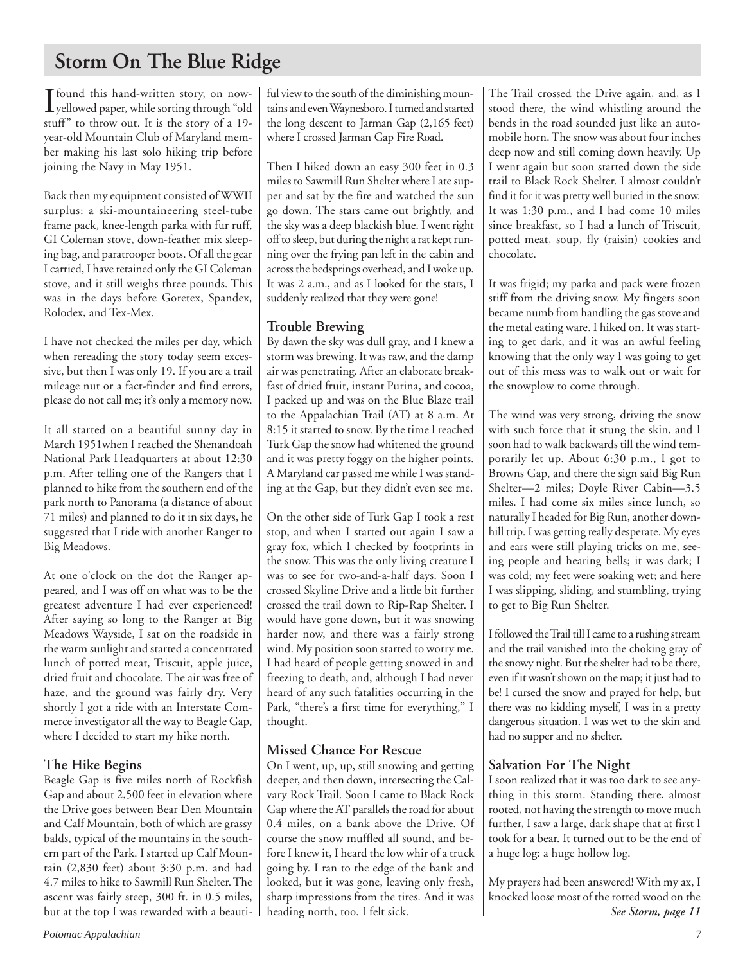## **Storm On The Blue Ridge**

 $\int_{\mathcal{S}} \text{found this hand-written story, on now-  
yellowed paper, while sorting through "old  
of "10"$ yellowed paper, while sorting through "old stuff" to throw out. It is the story of a 19 year-old Mountain Club of Maryland member making his last solo hiking trip before joining the Navy in May 1951.

Back then my equipment consisted of WWII surplus: a ski-mountaineering steel-tube frame pack, knee-length parka with fur ruff, GI Coleman stove, down-feather mix sleeping bag, and paratrooper boots. Of all the gear I carried, I have retained only the GI Coleman stove, and it still weighs three pounds. This was in the days before Goretex, Spandex, Rolodex, and Tex-Mex.

I have not checked the miles per day, which when rereading the story today seem excessive, but then I was only 19. If you are a trail mileage nut or a fact-finder and find errors, please do not call me; it's only a memory now.

It all started on a beautiful sunny day in March 1951when I reached the Shenandoah National Park Headquarters at about 12:30 p.m. After telling one of the Rangers that I planned to hike from the southern end of the park north to Panorama (a distance of about 71 miles) and planned to do it in six days, he suggested that I ride with another Ranger to Big Meadows.

At one o'clock on the dot the Ranger appeared, and I was off on what was to be the greatest adventure I had ever experienced! After saying so long to the Ranger at Big Meadows Wayside, I sat on the roadside in the warm sunlight and started a concentrated lunch of potted meat, Triscuit, apple juice, dried fruit and chocolate. The air was free of haze, and the ground was fairly dry. Very shortly I got a ride with an Interstate Commerce investigator all the way to Beagle Gap, where I decided to start my hike north.

## **The Hike Begins**

Beagle Gap is five miles north of Rockfish Gap and about 2,500 feet in elevation where the Drive goes between Bear Den Mountain and Calf Mountain, both of which are grassy balds, typical of the mountains in the southern part of the Park. I started up Calf Mountain (2,830 feet) about 3:30 p.m. and had 4.7 miles to hike to Sawmill Run Shelter. The ascent was fairly steep, 300 ft. in 0.5 miles, but at the top I was rewarded with a beautiful view to the south of the diminishing mountains and even Waynesboro. I turned and started the long descent to Jarman Gap (2,165 feet) where I crossed Jarman Gap Fire Road.

Then I hiked down an easy 300 feet in 0.3 miles to Sawmill Run Shelter where I ate supper and sat by the fire and watched the sun go down. The stars came out brightly, and the sky was a deep blackish blue. I went right off to sleep, but during the night a rat kept running over the frying pan left in the cabin and across the bedsprings overhead, and I woke up. It was 2 a.m., and as I looked for the stars, I suddenly realized that they were gone!

## **Trouble Brewing**

By dawn the sky was dull gray, and I knew a storm was brewing. It was raw, and the damp air was penetrating. After an elaborate breakfast of dried fruit, instant Purina, and cocoa, I packed up and was on the Blue Blaze trail to the Appalachian Trail (AT) at 8 a.m. At 8:15 it started to snow. By the time I reached Turk Gap the snow had whitened the ground and it was pretty foggy on the higher points. A Maryland car passed me while I was standing at the Gap, but they didn't even see me.

On the other side of Turk Gap I took a rest stop, and when I started out again I saw a gray fox, which I checked by footprints in the snow. This was the only living creature I was to see for two-and-a-half days. Soon I crossed Skyline Drive and a little bit further crossed the trail down to Rip-Rap Shelter. I would have gone down, but it was snowing harder now, and there was a fairly strong wind. My position soon started to worry me. I had heard of people getting snowed in and freezing to death, and, although I had never heard of any such fatalities occurring in the Park, "there's a first time for everything," I thought.

## **Missed Chance For Rescue**

On I went, up, up, still snowing and getting deeper, and then down, intersecting the Calvary Rock Trail. Soon I came to Black Rock Gap where the AT parallels the road for about 0.4 miles, on a bank above the Drive. Of course the snow muffled all sound, and before I knew it, I heard the low whir of a truck going by. I ran to the edge of the bank and looked, but it was gone, leaving only fresh, sharp impressions from the tires. And it was heading north, too. I felt sick.

The Trail crossed the Drive again, and, as I stood there, the wind whistling around the bends in the road sounded just like an automobile horn. The snow was about four inches deep now and still coming down heavily. Up I went again but soon started down the side trail to Black Rock Shelter. I almost couldn't find it for it was pretty well buried in the snow. It was 1:30 p.m., and I had come 10 miles since breakfast, so I had a lunch of Triscuit, potted meat, soup, fly (raisin) cookies and chocolate.

It was frigid; my parka and pack were frozen stiff from the driving snow. My fingers soon became numb from handling the gas stove and the metal eating ware. I hiked on. It was starting to get dark, and it was an awful feeling knowing that the only way I was going to get out of this mess was to walk out or wait for the snowplow to come through.

The wind was very strong, driving the snow with such force that it stung the skin, and I soon had to walk backwards till the wind temporarily let up. About 6:30 p.m., I got to Browns Gap, and there the sign said Big Run Shelter—2 miles; Doyle River Cabin—3.5 miles. I had come six miles since lunch, so naturally I headed for Big Run, another downhill trip. I was getting really desperate. My eyes and ears were still playing tricks on me, seeing people and hearing bells; it was dark; I was cold; my feet were soaking wet; and here I was slipping, sliding, and stumbling, trying to get to Big Run Shelter.

I followed the Trail till I came to a rushing stream and the trail vanished into the choking gray of the snowy night. But the shelter had to be there, even if it wasn't shown on the map; it just had to be! I cursed the snow and prayed for help, but there was no kidding myself, I was in a pretty dangerous situation. I was wet to the skin and had no supper and no shelter.

## **Salvation For The Night**

I soon realized that it was too dark to see anything in this storm. Standing there, almost rooted, not having the strength to move much further, I saw a large, dark shape that at first I took for a bear. It turned out to be the end of a huge log: a huge hollow log.

My prayers had been answered! With my ax, I knocked loose most of the rotted wood on the *See Storm, page 11*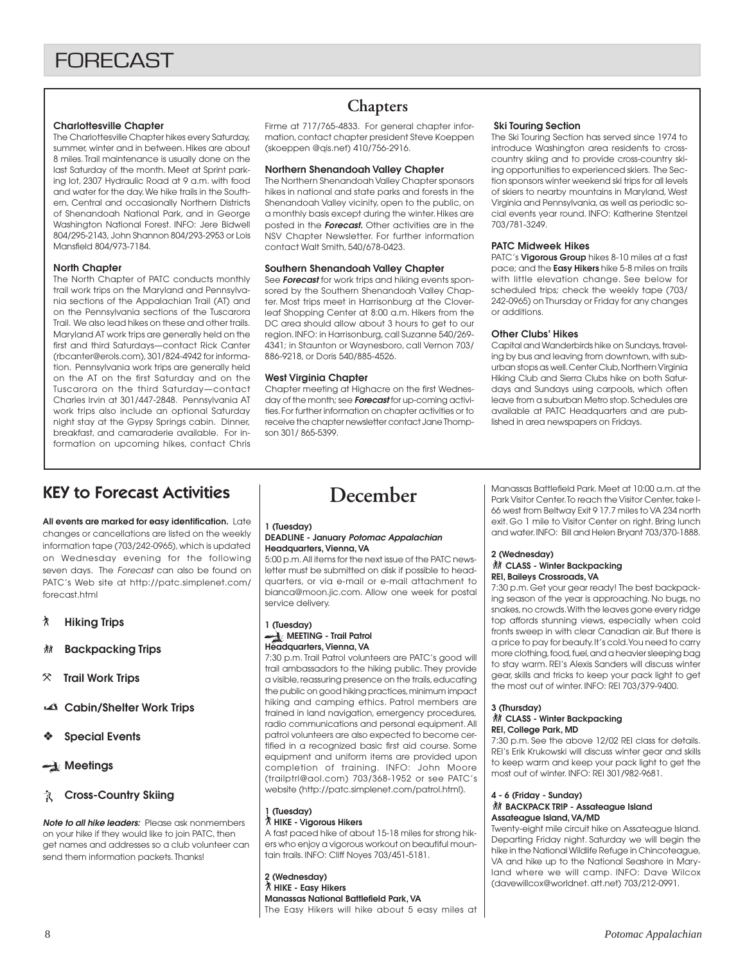### **Charlottesville Chapter**

The Charlottesville Chapter hikes every Saturday, summer, winter and in between. Hikes are about 8 miles. Trail maintenance is usually done on the last Saturday of the month. Meet at Sprint parking lot, 2307 Hydraulic Road at 9 a.m. with food and water for the day. We hike trails in the Southern, Central and occasionally Northern Districts of Shenandoah National Park, and in George Washington National Forest. INFO: Jere Bidwell 804/295-2143, John Shannon 804/293-2953 or Lois Mansfield 804/973-7184.

### **North Chapter**

The North Chapter of PATC conducts monthly trail work trips on the Maryland and Pennsylvania sections of the Appalachian Trail (AT) and on the Pennsylvania sections of the Tuscarora Trail. We also lead hikes on these and other trails. Maryland AT work trips are generally held on the first and third Saturdays—contact Rick Canter (rbcanter@erols.com), 301/824-4942 for information. Pennsylvania work trips are generally held on the AT on the first Saturday and on the Tuscarora on the third Saturday—contact Charles Irvin at 301/447-2848. Pennsylvania AT work trips also include an optional Saturday night stay at the Gypsy Springs cabin. Dinner, breakfast, and camaraderie available. For information on upcoming hikes, contact Chris

## **Chapters**

Firme at 717/765-4833. For general chapter information, contact chapter president Steve Koeppen (skoeppen @qis.net) 410/756-2916.

### **Northern Shenandoah Valley Chapter**

The Northern Shenandoah Valley Chapter sponsors hikes in national and state parks and forests in the Shenandoah Valley vicinity, open to the public, on a monthly basis except during the winter. Hikes are posted in the **Forecast.** Other activities are in the NSV Chapter Newsletter. For further information contact Walt Smith, 540/678-0423.

### **Southern Shenandoah Valley Chapter**

See **Forecast** for work trips and hiking events sponsored by the Southern Shenandoah Valley Chapter. Most trips meet in Harrisonburg at the Cloverleaf Shopping Center at 8:00 a.m. Hikers from the DC area should allow about 3 hours to get to our region. INFO: in Harrisonburg, call Suzanne 540/269- 4341; in Staunton or Waynesboro, call Vernon 703/ 886-9218, or Doris 540/885-4526.

### **West Virginia Chapter**

Chapter meeting at Highacre on the first Wednesday of the month; see **Forecast** for up-coming activities. For further information on chapter activities or to receive the chapter newsletter contact Jane Thompson 301/ 865-5399.

### **Ski Touring Section**

The Ski Touring Section has served since 1974 to introduce Washington area residents to crosscountry skiing and to provide cross-country skiing opportunities to experienced skiers. The Section sponsors winter weekend ski trips for all levels of skiers to nearby mountains in Maryland, West Virginia and Pennsylvania, as well as periodic social events year round. INFO: Katherine Stentzel 703/781-3249.

### **PATC Midweek Hikes**

PATC's **Vigorous Group** hikes 8-10 miles at a fast pace; and the **Easy Hikers** hike 5-8 miles on trails with little elevation change. See below for scheduled trips; check the weekly tape (703/ 242-0965) on Thursday or Friday for any changes or additions.

### **Other Clubs' Hikes**

Capital and Wanderbirds hike on Sundays, traveling by bus and leaving from downtown, with suburban stops as well. Center Club, Northern Virginia Hiking Club and Sierra Clubs hike on both Saturdays and Sundays using carpools, which often leave from a suburban Metro stop. Schedules are available at PATC Headquarters and are published in area newspapers on Fridays.

## KEY to Forecast Activities

**All events are marked for easy identification.** Late changes or cancellations are listed on the weekly information tape (703/242-0965), which is updated on Wednesday evening for the following seven days. The Forecast can also be found on PATC's Web site at http://patc.simplenet.com/ forecast.html

- ` **Hiking Trips**
- F **Backpacking Trips**
- } **Trail Work Trips**
- **Cabin/Shelter Work Trips**
- ❖ **Special Events**
- **Meetings**

## **R** Cross-Country Skiing

**Note to all hike leaders:** Please ask nonmembers on your hike if they would like to join PATC, then get names and addresses so a club volunteer can send them information packets. Thanks!

## **December**

#### **1 (Tuesday)**

#### **DEADLINE - January Potomac Appalachian Headquarters, Vienna, VA**

5:00 p.m. All items for the next issue of the PATC newsletter must be submitted on disk if possible to headquarters, or via e-mail or e-mail attachment to bianca@moon.jic.com. Allow one week for postal service delivery.

### **1 (Tuesday) MEETING - Trail Patrol Headquarters, Vienna, VA**

7:30 p.m. Trail Patrol volunteers are PATC's good will trail ambassadors to the hiking public. They provide a visible, reassuring presence on the trails, educating the public on good hiking practices, minimum impact hiking and camping ethics. Patrol members are trained in land navigation, emergency procedures, radio communications and personal equipment. All patrol volunteers are also expected to become certified in a recognized basic first aid course. Some equipment and uniform items are provided upon completion of training. INFO: John Moore (trailptrl@aol.com) 703/368-1952 or see PATC's website (http://patc.simplenet.com/patrol.html).

#### **1 (Tuesday)** ` **HIKE - Vigorous Hikers**

A fast paced hike of about 15-18 miles for strong hikers who enjoy a vigorous workout on beautiful mountain trails. INFO: Cliff Noyes 703/451-5181.

**2 (Wednesday)** ` **HIKE - Easy Hikers Manassas National Battlefield Park, VA** The Easy Hikers will hike about 5 easy miles at Manassas Battlefield Park. Meet at 10:00 a.m. at the Park Visitor Center. To reach the Visitor Center, take I-66 west from Beltway Exit 9 17.7 miles to VA 234 north exit. Go 1 mile to Visitor Center on right. Bring lunch and water. INFO: Bill and Helen Bryant 703/370-1888.

### **2 (Wednesday) 然 CLASS - Winter Backpacking REI, Baileys Crossroads, VA**

7:30 p.m. Get your gear ready! The best backpacking season of the year is approaching. No bugs, no snakes, no crowds. With the leaves gone every ridge top affords stunning views, especially when cold fronts sweep in with clear Canadian air. But there is a price to pay for beauty. It's cold. You need to carry more clothing, food, fuel, and a heavier sleeping bag to stay warm. REI's Alexis Sanders will discuss winter gear, skills and tricks to keep your pack light to get the most out of winter. INFO: REI 703/379-9400.

### **3 (Thursday)**

#### **然 CLASS - Winter Backpacking REI, College Park, MD**

7:30 p.m. See the above 12/02 REI class for details. REI's Erik Krukowski will discuss winter gear and skills to keep warm and keep your pack light to get the most out of winter. INFO: REI 301/982-9681.

### **4 - 6 (Friday - Sunday) KN** BACKPACK TRIP - Assateague Island **Assateague Island, VA/MD**

Twenty-eight mile circuit hike on Assateague Island. Departing Friday night. Saturday we will begin the hike in the National Wildlife Refuge in Chincoteague, VA and hike up to the National Seashore in Maryland where we will camp. INFO: Dave Wilcox (davewillcox@worldnet. att.net) 703/212-0991.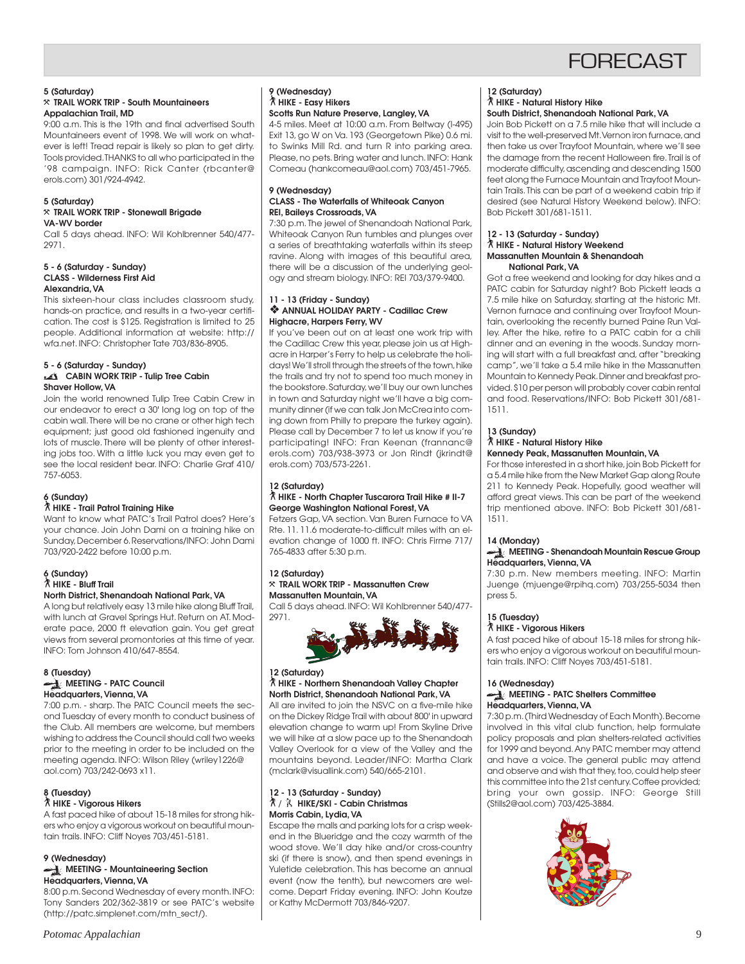## **FORFCAST**

#### **5 (Saturday)** }**TRAIL WORK TRIP - South Mountaineers Appalachian Trail, MD**

9:00 a.m. This is the 19th and final advertised South Mountaineers event of 1998. We will work on whatever is left! Tread repair is likely so plan to get dirty. Tools provided. THANKS to all who participated in the '98 campaign. INFO: Rick Canter (rbcanter@ erols.com) 301/924-4942.

#### **5 (Saturday)** }**TRAIL WORK TRIP - Stonewall Brigade VA-WV border**

Call 5 days ahead. INFO: Wil Kohlbrenner 540/477- 2971.

#### **5 - 6 (Saturday - Sunday) CLASS - Wilderness First Aid Alexandria, VA**

This sixteen-hour class includes classroom study, hands-on practice, and results in a two-year certification. The cost is \$125. Registration is limited to 25 people. Additional information at website: http:// wfa.net. INFO: Christopher Tate 703/836-8905.

### **5 - 6 (Saturday - Sunday) CABIN WORK TRIP - Tulip Tree Cabin Shaver Hollow, VA**

Join the world renowned Tulip Tree Cabin Crew in our endeavor to erect a 30' long log on top of the cabin wall. There will be no crane or other high tech equipment; just good old fashioned ingenuity and lots of muscle. There will be plenty of other interesting jobs too. With a little luck you may even get to see the local resident bear. INFO: Charlie Graf 410/ 757-6053.

## **6 (Sunday)**

### ` **HIKE - Trail Patrol Training Hike**

Want to know what PATC's Trail Patrol does? Here's your chance. Join John Dami on a training hike on Sunday, December 6. Reservations/INFO: John Dami 703/920-2422 before 10:00 p.m.

#### **6 (Sunday)** ` **HIKE - Bluff Trail North District, Shenandoah National Park, VA**

A long but relatively easy 13 mile hike along Bluff Trail, with lunch at Gravel Springs Hut. Return on AT. Moderate pace, 2000 ft elevation gain. You get great views from several promontories at this time of year.

## INFO: Tom Johnson 410/647-8554. **8 (Tuesday) MEETING - PATC Council**

**Headquarters, Vienna, VA** 7:00 p.m. - sharp. The PATC Council meets the sec-

ond Tuesday of every month to conduct business of the Club. All members are welcome, but members wishing to address the Council should call two weeks prior to the meeting in order to be included on the meeting agenda. INFO: Wilson Riley (wriley1226@ aol.com) 703/242-0693 x11.

## **8 (Tuesday)**

### ` **HIKE - Vigorous Hikers**

A fast paced hike of about 15-18 miles for strong hikers who enjoy a vigorous workout on beautiful mountain trails. INFO: Cliff Noyes 703/451-5181.

## **9 (Wednesday)**

### **MEETING - Mountaineering Section Headquarters, Vienna, VA**

8:00 p.m. Second Wednesday of every month. INFO: Tony Sanders 202/362-3819 or see PATC's website (http://patc.simplenet.com/mtn\_sect/).

### **9 (Wednesday)** ` **HIKE - Easy Hikers Scotts Run Nature Preserve, Langley, VA**

4-5 miles. Meet at 10:00 a.m. From Beltway (I-495) Exit 13, go W on Va. 193 (Georgetown Pike) 0.6 mi. to Swinks Mill Rd. and turn R into parking area. Please, no pets. Bring water and lunch. INFO: Hank Comeau (hankcomeau@aol.com) 703/451-7965.

### **9 (Wednesday) CLASS - The Waterfalls of Whiteoak Canyon REI, Baileys Crossroads, VA**

7:30 p.m. The jewel of Shenandoah National Park, Whiteoak Canyon Run tumbles and plunges over a series of breathtaking waterfalls within its steep ravine. Along with images of this beautiful area, there will be a discussion of the underlying geology and stream biology. INFO: REI 703/379-9400.

### **11 - 13 (Friday - Sunday)** ❖ **ANNUAL HOLIDAY PARTY - Cadillac Crew Highacre, Harpers Ferry, WV**

If you've been out on at least one work trip with the Cadillac Crew this year, please join us at Highacre in Harper's Ferry to help us celebrate the holidays! We'll stroll through the streets of the town, hike the trails and try not to spend too much money in the bookstore. Saturday, we'll buy our own lunches in town and Saturday night we'll have a big community dinner (if we can talk Jon McCrea into coming down from Philly to prepare the turkey again). Please call by December 7 to let us know if you're participating! INFO: Fran Keenan (frannanc@ erols.com) 703/938-3973 or Jon Rindt (jkrindt@ erols.com) 703/573-2261.

#### **12 (Saturday)** ` **HIKE - North Chapter Tuscarora Trail Hike # II-7 George Washington National Forest, VA**

Fetzers Gap, VA section. Van Buren Furnace to VA Rte. 11. 11.6 moderate-to-difficult miles with an elevation change of 1000 ft. INFO: Chris Firme 717/ 765-4833 after 5:30 p.m.

### **12 (Saturday)** }**TRAIL WORK TRIP - Massanutten Crew Massanutten Mountain, VA**

Call 5 days ahead. INFO: Wil Kohlbrenner 540/477- 2971.



## **12 (Saturday)**

## ` **HIKE - Northern Shenandoah Valley Chapter North District, Shenandoah National Park, VA**

All are invited to join the NSVC on a five-mile hike on the Dickey Ridge Trail with about 800' in upward elevation change to warm up! From Skyline Drive we will hike at a slow pace up to the Shenandoah Valley Overlook for a view of the Valley and the mountains beyond. Leader/INFO: Martha Clark (mclark@visuallink.com) 540/665-2101.

### **12 - 13 (Saturday - Sunday)** ` / **HIKE/SKI - Cabin Christmas Morris Cabin, Lydia, VA**

Escape the malls and parking lots for a crisp weekend in the Blueridge and the cozy warmth of the wood stove. We'll day hike and/or cross-country ski (if there is snow), and then spend evenings in Yuletide celebration. This has become an annual event (now the tenth), but newcomers are welcome. Depart Friday evening. INFO: John Koutze or Kathy McDermott 703/846-9207.

#### **12 (Saturday)** ` **HIKE - Natural History Hike South District, Shenandoah National Park, VA**

Join Bob Pickett on a 7.5 mile hike that will include a visit to the well-preserved Mt. Vernon iron furnace, and then take us over Trayfoot Mountain, where we'll see the damage from the recent Halloween fire. Trail is of moderate difficulty, ascending and descending 1500 feet along the Furnace Mountain and Trayfoot Mountain Trails. This can be part of a weekend cabin trip if desired (see Natural History Weekend below). INFO: Bob Pickett 301/681-1511.

#### **12 - 13 (Saturday - Sunday)** ` **HIKE - Natural History Weekend Massanutten Mountain & Shenandoah National Park, VA**

Got a free weekend and looking for day hikes and a PATC cabin for Saturday night? Bob Pickett leads a 7.5 mile hike on Saturday, starting at the historic Mt. Vernon furnace and continuing over Trayfoot Mountain, overlooking the recently burned Paine Run Valley. After the hike, retire to a PATC cabin for a chili dinner and an evening in the woods. Sunday morning will start with a full breakfast and, after "breaking camp", we'll take a 5.4 mile hike in the Massanutten Mountain to Kennedy Peak. Dinner and breakfast provided. \$10 per person will probably cover cabin rental and food. Reservations/INFO: Bob Pickett 301/681- 1511.

## **13 (Sunday)**

#### ` **HIKE - Natural History Hike Kennedy Peak, Massanutten Mountain, VA**

For those interested in a short hike, join Bob Pickett for a 5.4 mile hike from the New Market Gap along Route 211 to Kennedy Peak. Hopefully, good weather will afford great views. This can be part of the weekend trip mentioned above. INFO: Bob Pickett 301/681- 1511.

### **14 (Monday)**

#### **MEETING - Shenandoah Mountain Rescue Group Headquarters, Vienna, VA**

7:30 p.m. New members meeting. INFO: Martin Juenge (mjuenge@rpihq.com) 703/255-5034 then press 5.

## **15 (Tuesday)**

### ` **HIKE - Vigorous Hikers**

A fast paced hike of about 15-18 miles for strong hikers who enjoy a vigorous workout on beautiful mountain trails. INFO: Cliff Noyes 703/451-5181.

## **16 (Wednesday)**

### **MEETING - PATC Shelters Committee Headquarters, Vienna, VA**

7:30 p.m. (Third Wednesday of Each Month). Become involved in this vital club function, help formulate policy proposals and plan shelters-related activities for 1999 and beyond. Any PATC member may attend and have a voice. The general public may attend and observe and wish that they, too, could help steer this committee into the 21st century. Coffee provided; bring your own gossip. INFO: George Still (Stills2@aol.com) 703/425-3884.

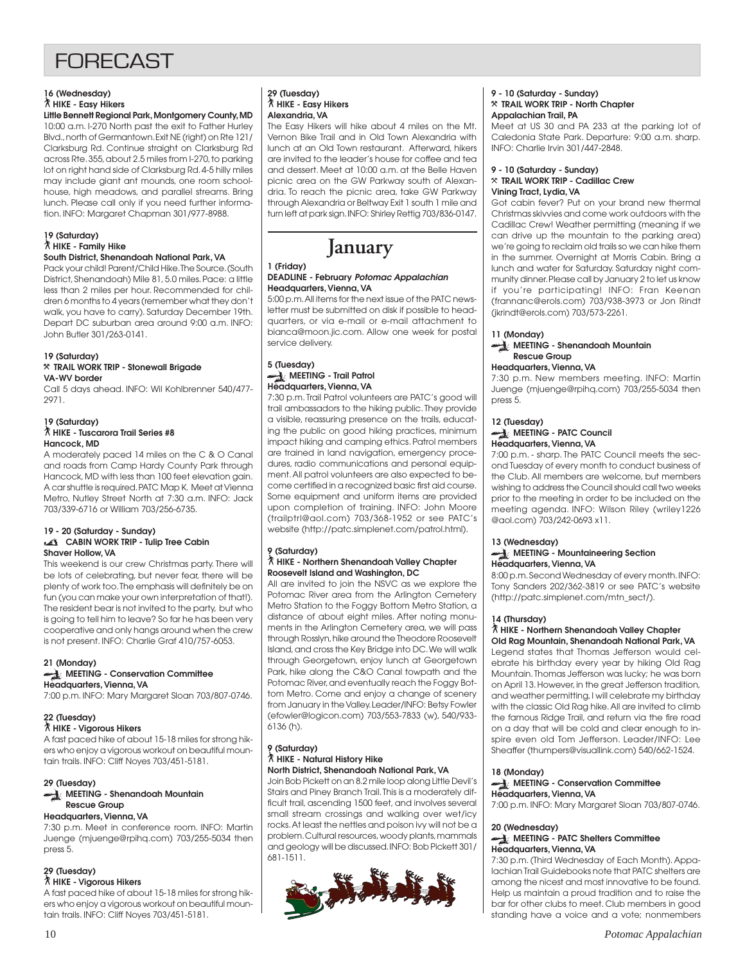## **FORFCAST**

## **16 (Wednesday)** ` **HIKE - Easy Hikers**

**Little Bennett Regional Park, Montgomery County, MD** 10:00 a.m. I-270 North past the exit to Father Hurley Blvd., north of Germantown. Exit NE (right) on Rte 121/ Clarksburg Rd. Continue straight on Clarksburg Rd across Rte. 355, about 2.5 miles from I-270, to parking lot on right hand side of Clarksburg Rd. 4-5 hilly miles may include giant ant mounds, one room schoolhouse, high meadows, and parallel streams. Bring lunch. Please call only if you need further information. INFO: Margaret Chapman 301/977-8988.

#### **19 (Saturday)** ` **HIKE - Family Hike South District, Shenandoah National Park, VA**

#### Pack your child! Parent/Child Hike. The Source. (South District, Shenandoah) Mile 81, 5.0 miles. Pace: a little less than 2 miles per hour. Recommended for children 6 months to 4 years (remember what they don't walk, you have to carry). Saturday December 19th. Depart DC suburban area around 9:00 a.m. INFO: John Butler 301/263-0141.

#### **19 (Saturday)** }**TRAIL WORK TRIP - Stonewall Brigade VA-WV border**

Call 5 days ahead. INFO: Wil Kohlbrenner 540/477- 2971.

### **19 (Saturday)** ` **HIKE - Tuscarora Trail Series #8 Hancock, MD**

A moderately paced 14 miles on the C & O Canal and roads from Camp Hardy County Park through Hancock, MD with less than 100 feet elevation gain. A car shuttle is required. PATC Map K. Meet at Vienna Metro, Nutley Street North at 7:30 a.m. INFO: Jack 703/339-6716 or William 703/256-6735.

### **19 - 20 (Saturday - Sunday) CABIN WORK TRIP - Tulip Tree Cabin Shaver Hollow, VA**

This weekend is our crew Christmas party. There will be lots of celebrating, but never fear, there will be plenty of work too. The emphasis will definitely be on fun (you can make your own interpretation of that!). The resident bear is not invited to the party, but who is going to tell him to leave? So far he has been very cooperative and only hangs around when the crew is not present. INFO: Charlie Graf 410/757-6053.

## **21 (Monday)**

### **MEETING - Conservation Committee Headquarters, Vienna, VA**

7:00 p.m. INFO: Mary Margaret Sloan 703/807-0746.

## **22 (Tuesday)**

## ` **HIKE - Vigorous Hikers**

A fast paced hike of about 15-18 miles for strong hikers who enjoy a vigorous workout on beautiful mountain trails. INFO: Cliff Noyes 703/451-5181.

### **29 (Tuesday) MEETING - Shenandoah Mountain Rescue Group**

## **Headquarters, Vienna, VA**

7:30 p.m. Meet in conference room. INFO: Martin Juenge (mjuenge@rpihq.com) 703/255-5034 then press 5.

## **29 (Tuesday)**

## ` **HIKE - Vigorous Hikers**

A fast paced hike of about 15-18 miles for strong hikers who enjoy a vigorous workout on beautiful mountain trails. INFO: Cliff Noyes 703/451-5181.

### **29 (Tuesday)** ` **HIKE - Easy Hikers Alexandria, VA**

The Easy Hikers will hike about 4 miles on the Mt. Vernon Bike Trail and in Old Town Alexandria with lunch at an Old Town restaurant. Afterward, hikers are invited to the leader's house for coffee and tea and dessert. Meet at 10:00 a.m. at the Belle Haven picnic area on the GW Parkway south of Alexandria. To reach the picnic area, take GW Parkway through Alexandria or Beltway Exit 1 south 1 mile and turn left at park sign. INFO: Shirley Rettig 703/836-0147.

## **January**

#### **1 (Friday) DEADLINE - February Potomac Appalachian Headquarters, Vienna, VA**

5:00 p.m. All items for the next issue of the PATC newsletter must be submitted on disk if possible to headquarters, or via e-mail or e-mail attachment to bianca@moon.jic.com. Allow one week for postal service delivery.

### **5 (Tuesday) MEETING - Trail Patrol Headquarters, Vienna, VA**

7:30 p.m. Trail Patrol volunteers are PATC's good will trail ambassadors to the hiking public. They provide a visible, reassuring presence on the trails, educating the public on good hiking practices, minimum impact hiking and camping ethics. Patrol members are trained in land navigation, emergency procedures, radio communications and personal equipment. All patrol volunteers are also expected to become certified in a recognized basic first aid course. Some equipment and uniform items are provided upon completion of training. INFO: John Moore (trailptrl@aol.com) 703/368-1952 or see PATC's website (http://patc.simplenet.com/patrol.html).

#### **9 (Saturday)** ` **HIKE - Northern Shenandoah Valley Chapter Roosevelt Island and Washington, DC**

All are invited to join the NSVC as we explore the Potomac River area from the Arlington Cemetery Metro Station to the Foggy Bottom Metro Station, a distance of about eight miles. After noting monuments in the Arlington Cemetery area, we will pass through Rosslyn, hike around the Theodore Roosevelt Island, and cross the Key Bridge into DC. We will walk through Georgetown, enjoy lunch at Georgetown Park, hike along the C&O Canal towpath and the Potomac River, and eventually reach the Foggy Bottom Metro. Come and enjoy a change of scenery from January in the Valley. Leader/INFO: Betsy Fowler (efowler@logicon.com) 703/553-7833 (w), 540/933- 6136 (h).

#### **9 (Saturday)** ` **HIKE - Natural History Hike North District, Shenandoah National Park, VA**

Join Bob Pickett on an 8.2 mile loop along Little Devil's Stairs and Piney Branch Trail. This is a moderately difficult trail, ascending 1500 feet, and involves several small stream crossings and walking over wet/icy rocks. At least the nettles and poison ivy will not be a problem. Cultural resources, woody plants, mammals and geology will be discussed. INFO: Bob Pickett 301/ 681-1511.



### **9 - 10 (Saturday - Sunday)** }**TRAIL WORK TRIP - North Chapter Appalachian Trail, PA**

Meet at US 30 and PA 233 at the parking lot of Caledonia State Park. Departure: 9:00 a.m. sharp. INFO: Charlie Irvin 301/447-2848.

### **9 - 10 (Saturday - Sunday)** }**TRAIL WORK TRIP - Cadillac Crew Vining Tract, Lydia, VA**

Got cabin fever? Put on your brand new thermal Christmas skivvies and come work outdoors with the Cadillac Crew! Weather permitting (meaning if we can drive up the mountain to the parking area) we're going to reclaim old trails so we can hike them in the summer. Overnight at Morris Cabin. Bring a lunch and water for Saturday. Saturday night community dinner. Please call by January 2 to let us know if you're participating! INFO: Fran Keenan (frannanc@erols.com) 703/938-3973 or Jon Rindt (jkrindt@erols.com) 703/573-2261.

## **11 (Monday)**

### **MEETING - Shenandoah Mountain Rescue Group**

### **Headquarters, Vienna, VA**

7:30 p.m. New members meeting. INFO: Martin Juenge (mjuenge@rpihq.com) 703/255-5034 then press 5.

### **12 (Tuesday)**

#### **MEETING - PATC Council Headquarters, Vienna, VA**

7:00 p.m. - sharp. The PATC Council meets the second Tuesday of every month to conduct business of the Club. All members are welcome, but members wishing to address the Council should call two weeks prior to the meeting in order to be included on the meeting agenda. INFO: Wilson Riley (wriley1226 @aol.com) 703/242-0693 x11.

### **13 (Wednesday)**

### **MEETING - Mountaineering Section Headquarters, Vienna, VA**

8:00 p.m. Second Wednesday of every month. INFO: Tony Sanders 202/362-3819 or see PATC's website (http://patc.simplenet.com/mtn\_sect/).

### **14 (Thursday)**

#### ` **HIKE - Northern Shenandoah Valley Chapter Old Rag Mountain, Shenandoah National Park, VA**

Legend states that Thomas Jefferson would celebrate his birthday every year by hiking Old Rag Mountain. Thomas Jefferson was lucky; he was born on April 13. However, in the great Jefferson tradition, and weather permitting, I will celebrate my birthday with the classic Old Rag hike. All are invited to climb the famous Ridge Trail, and return via the fire road on a day that will be cold and clear enough to inspire even old Tom Jefferson. Leader/INFO: Lee Sheaffer (thumpers@visuallink.com) 540/662-1524.

## **18 (Monday)**

#### **MEETING - Conservation Committee Headquarters, Vienna, VA** 7:00 p.m. INFO: Mary Margaret Sloan 703/807-0746.

## **20 (Wednesday)**

### **MEETING - PATC Shelters Committee Headquarters, Vienna, VA**

7:30 p.m. (Third Wednesday of Each Month). Appalachian Trail Guidebooks note that PATC shelters are among the nicest and most innovative to be found. Help us maintain a proud tradition and to raise the bar for other clubs to meet. Club members in good standing have a voice and a vote; nonmembers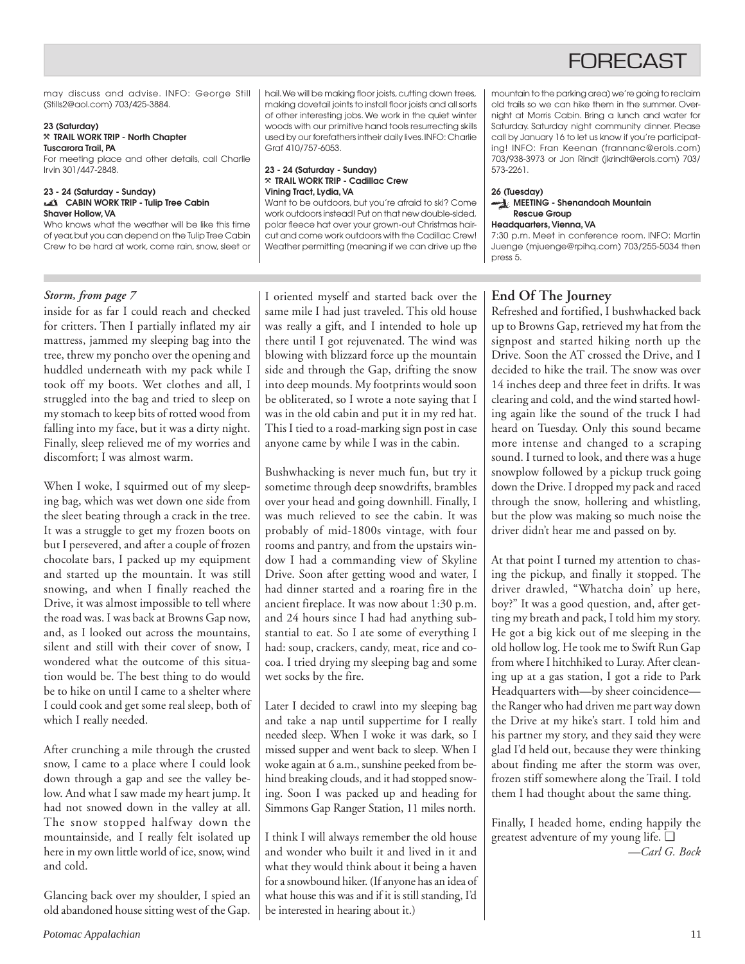## **FORECAST**

may discuss and advise. INFO: George Still (Stills2@aol.com) 703/425-3884.

#### **23 (Saturday)** }**TRAIL WORK TRIP - North Chapter Tuscarora Trail, PA**

For meeting place and other details, call Charlie Irvin 301/447-2848.

### **23 - 24 (Saturday - Sunday) CABIN WORK TRIP - Tulip Tree Cabin Shaver Hollow, VA**

Who knows what the weather will be like this time of year, but you can depend on the Tulip Tree Cabin Crew to be hard at work, come rain, snow, sleet or

hail. We will be making floor joists, cutting down trees, making dovetail joints to install floor joists and all sorts of other interesting jobs. We work in the quiet winter woods with our primitive hand tools resurrecting skills used by our forefathers intheir daily lives. INFO: Charlie Graf 410/757-6053.

### **23 - 24 (Saturday - Sunday)** }**TRAIL WORK TRIP - Cadillac Crew Vining Tract, Lydia, VA**

Want to be outdoors, but you're afraid to ski? Come work outdoors instead! Put on that new double-sided, polar fleece hat over your grown-out Christmas haircut and come work outdoors with the Cadillac Crew! Weather permitting (meaning if we can drive up the mountain to the parking area) we're going to reclaim old trails so we can hike them in the summer. Overnight at Morris Cabin. Bring a lunch and water for Saturday. Saturday night community dinner. Please call by January 16 to let us know if you're participating! INFO: Fran Keenan (frannanc@erols.com) 703/938-3973 or Jon Rindt (jkrindt@erols.com) 703/ 573-2261.

### **26 (Tuesday) MEETING - Shenandoah Mountain Rescue Group**

### **Headquarters, Vienna, VA**

7:30 p.m. Meet in conference room. INFO: Martin Juenge (mjuenge@rpihq.com) 703/255-5034 then press 5.

## *Storm, from page 7*

inside for as far I could reach and checked for critters. Then I partially inflated my air mattress, jammed my sleeping bag into the tree, threw my poncho over the opening and huddled underneath with my pack while I took off my boots. Wet clothes and all, I struggled into the bag and tried to sleep on my stomach to keep bits of rotted wood from falling into my face, but it was a dirty night. Finally, sleep relieved me of my worries and discomfort; I was almost warm.

When I woke, I squirmed out of my sleeping bag, which was wet down one side from the sleet beating through a crack in the tree. It was a struggle to get my frozen boots on but I persevered, and after a couple of frozen chocolate bars, I packed up my equipment and started up the mountain. It was still snowing, and when I finally reached the Drive, it was almost impossible to tell where the road was. I was back at Browns Gap now, and, as I looked out across the mountains, silent and still with their cover of snow, I wondered what the outcome of this situation would be. The best thing to do would be to hike on until I came to a shelter where I could cook and get some real sleep, both of which I really needed.

After crunching a mile through the crusted snow, I came to a place where I could look down through a gap and see the valley below. And what I saw made my heart jump. It had not snowed down in the valley at all. The snow stopped halfway down the mountainside, and I really felt isolated up here in my own little world of ice, snow, wind and cold.

Glancing back over my shoulder, I spied an old abandoned house sitting west of the Gap. I oriented myself and started back over the same mile I had just traveled. This old house was really a gift, and I intended to hole up there until I got rejuvenated. The wind was blowing with blizzard force up the mountain side and through the Gap, drifting the snow into deep mounds. My footprints would soon be obliterated, so I wrote a note saying that I was in the old cabin and put it in my red hat. This I tied to a road-marking sign post in case anyone came by while I was in the cabin.

Bushwhacking is never much fun, but try it sometime through deep snowdrifts, brambles over your head and going downhill. Finally, I was much relieved to see the cabin. It was probably of mid-1800s vintage, with four rooms and pantry, and from the upstairs window I had a commanding view of Skyline Drive. Soon after getting wood and water, I had dinner started and a roaring fire in the ancient fireplace. It was now about 1:30 p.m. and 24 hours since I had had anything substantial to eat. So I ate some of everything I had: soup, crackers, candy, meat, rice and cocoa. I tried drying my sleeping bag and some wet socks by the fire.

Later I decided to crawl into my sleeping bag and take a nap until suppertime for I really needed sleep. When I woke it was dark, so I missed supper and went back to sleep. When I woke again at 6 a.m., sunshine peeked from behind breaking clouds, and it had stopped snowing. Soon I was packed up and heading for Simmons Gap Ranger Station, 11 miles north.

I think I will always remember the old house and wonder who built it and lived in it and what they would think about it being a haven for a snowbound hiker. (If anyone has an idea of what house this was and if it is still standing, I'd be interested in hearing about it.)

## **End Of The Journey**

Refreshed and fortified, I bushwhacked back up to Browns Gap, retrieved my hat from the signpost and started hiking north up the Drive. Soon the AT crossed the Drive, and I decided to hike the trail. The snow was over 14 inches deep and three feet in drifts. It was clearing and cold, and the wind started howling again like the sound of the truck I had heard on Tuesday. Only this sound became more intense and changed to a scraping sound. I turned to look, and there was a huge snowplow followed by a pickup truck going down the Drive. I dropped my pack and raced through the snow, hollering and whistling, but the plow was making so much noise the driver didn't hear me and passed on by.

At that point I turned my attention to chasing the pickup, and finally it stopped. The driver drawled, "Whatcha doin' up here, boy?" It was a good question, and, after getting my breath and pack, I told him my story. He got a big kick out of me sleeping in the old hollow log. He took me to Swift Run Gap from where I hitchhiked to Luray. After cleaning up at a gas station, I got a ride to Park Headquarters with—by sheer coincidence the Ranger who had driven me part way down the Drive at my hike's start. I told him and his partner my story, and they said they were glad I'd held out, because they were thinking about finding me after the storm was over, frozen stiff somewhere along the Trail. I told them I had thought about the same thing.

Finally, I headed home, ending happily the greatest adventure of my young life. ❑ *—Carl G. Bock*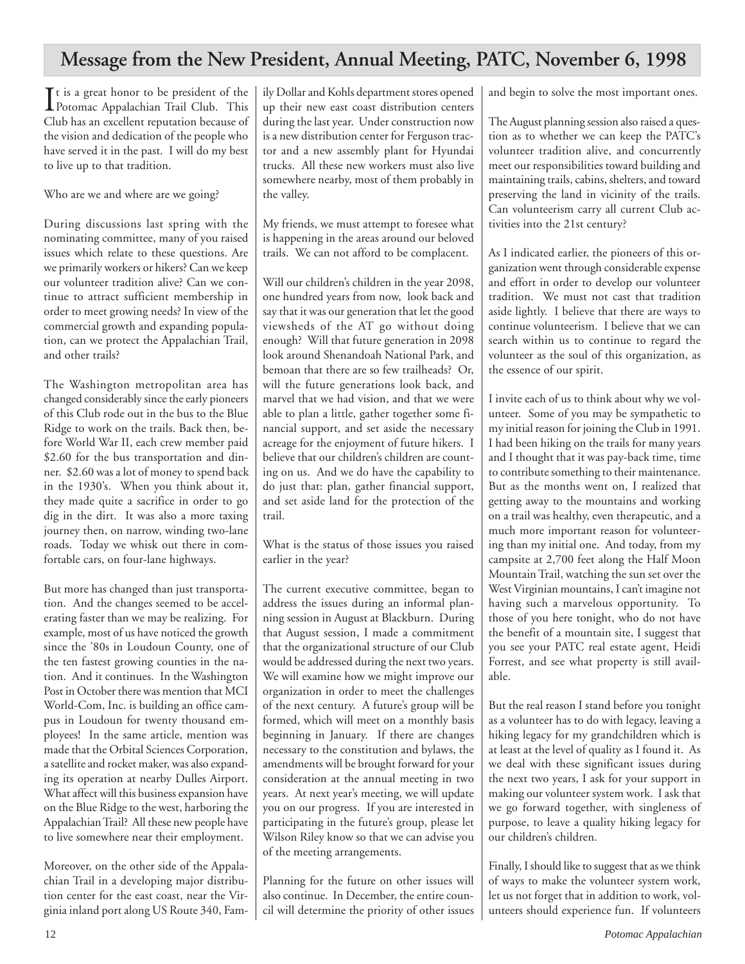## **Message from the New President, Annual Meeting, PATC, November 6, 1998**

It is a great honor to be president of the<br>Potomac Appalachian Trail Club. This Potomac Appalachian Trail Club. This Club has an excellent reputation because of the vision and dedication of the people who have served it in the past. I will do my best to live up to that tradition.

Who are we and where are we going?

During discussions last spring with the nominating committee, many of you raised issues which relate to these questions. Are we primarily workers or hikers? Can we keep our volunteer tradition alive? Can we continue to attract sufficient membership in order to meet growing needs? In view of the commercial growth and expanding population, can we protect the Appalachian Trail, and other trails?

The Washington metropolitan area has changed considerably since the early pioneers of this Club rode out in the bus to the Blue Ridge to work on the trails. Back then, before World War II, each crew member paid \$2.60 for the bus transportation and dinner. \$2.60 was a lot of money to spend back in the 1930's. When you think about it, they made quite a sacrifice in order to go dig in the dirt. It was also a more taxing journey then, on narrow, winding two-lane roads. Today we whisk out there in comfortable cars, on four-lane highways.

But more has changed than just transportation. And the changes seemed to be accelerating faster than we may be realizing. For example, most of us have noticed the growth since the '80s in Loudoun County, one of the ten fastest growing counties in the nation. And it continues. In the Washington Post in October there was mention that MCI World-Com, Inc. is building an office campus in Loudoun for twenty thousand employees! In the same article, mention was made that the Orbital Sciences Corporation, a satellite and rocket maker, was also expanding its operation at nearby Dulles Airport. What affect will this business expansion have on the Blue Ridge to the west, harboring the Appalachian Trail? All these new people have to live somewhere near their employment.

Moreover, on the other side of the Appalachian Trail in a developing major distribution center for the east coast, near the Virginia inland port along US Route 340, Family Dollar and Kohls department stores opened up their new east coast distribution centers during the last year. Under construction now is a new distribution center for Ferguson tractor and a new assembly plant for Hyundai trucks. All these new workers must also live somewhere nearby, most of them probably in the valley.

My friends, we must attempt to foresee what is happening in the areas around our beloved trails. We can not afford to be complacent.

Will our children's children in the year 2098, one hundred years from now, look back and say that it was our generation that let the good viewsheds of the AT go without doing enough? Will that future generation in 2098 look around Shenandoah National Park, and bemoan that there are so few trailheads? Or, will the future generations look back, and marvel that we had vision, and that we were able to plan a little, gather together some financial support, and set aside the necessary acreage for the enjoyment of future hikers. I believe that our children's children are counting on us. And we do have the capability to do just that: plan, gather financial support, and set aside land for the protection of the trail.

What is the status of those issues you raised earlier in the year?

The current executive committee, began to address the issues during an informal planning session in August at Blackburn. During that August session, I made a commitment that the organizational structure of our Club would be addressed during the next two years. We will examine how we might improve our organization in order to meet the challenges of the next century. A future's group will be formed, which will meet on a monthly basis beginning in January. If there are changes necessary to the constitution and bylaws, the amendments will be brought forward for your consideration at the annual meeting in two years. At next year's meeting, we will update you on our progress. If you are interested in participating in the future's group, please let Wilson Riley know so that we can advise you of the meeting arrangements.

Planning for the future on other issues will also continue. In December, the entire council will determine the priority of other issues and begin to solve the most important ones.

The August planning session also raised a question as to whether we can keep the PATC's volunteer tradition alive, and concurrently meet our responsibilities toward building and maintaining trails, cabins, shelters, and toward preserving the land in vicinity of the trails. Can volunteerism carry all current Club activities into the 21st century?

As I indicated earlier, the pioneers of this organization went through considerable expense and effort in order to develop our volunteer tradition. We must not cast that tradition aside lightly. I believe that there are ways to continue volunteerism. I believe that we can search within us to continue to regard the volunteer as the soul of this organization, as the essence of our spirit.

I invite each of us to think about why we volunteer. Some of you may be sympathetic to my initial reason for joining the Club in 1991. I had been hiking on the trails for many years and I thought that it was pay-back time, time to contribute something to their maintenance. But as the months went on, I realized that getting away to the mountains and working on a trail was healthy, even therapeutic, and a much more important reason for volunteering than my initial one. And today, from my campsite at 2,700 feet along the Half Moon Mountain Trail, watching the sun set over the West Virginian mountains, I can't imagine not having such a marvelous opportunity. To those of you here tonight, who do not have the benefit of a mountain site, I suggest that you see your PATC real estate agent, Heidi Forrest, and see what property is still available.

But the real reason I stand before you tonight as a volunteer has to do with legacy, leaving a hiking legacy for my grandchildren which is at least at the level of quality as I found it. As we deal with these significant issues during the next two years, I ask for your support in making our volunteer system work. I ask that we go forward together, with singleness of purpose, to leave a quality hiking legacy for our children's children.

Finally, I should like to suggest that as we think of ways to make the volunteer system work, let us not forget that in addition to work, volunteers should experience fun. If volunteers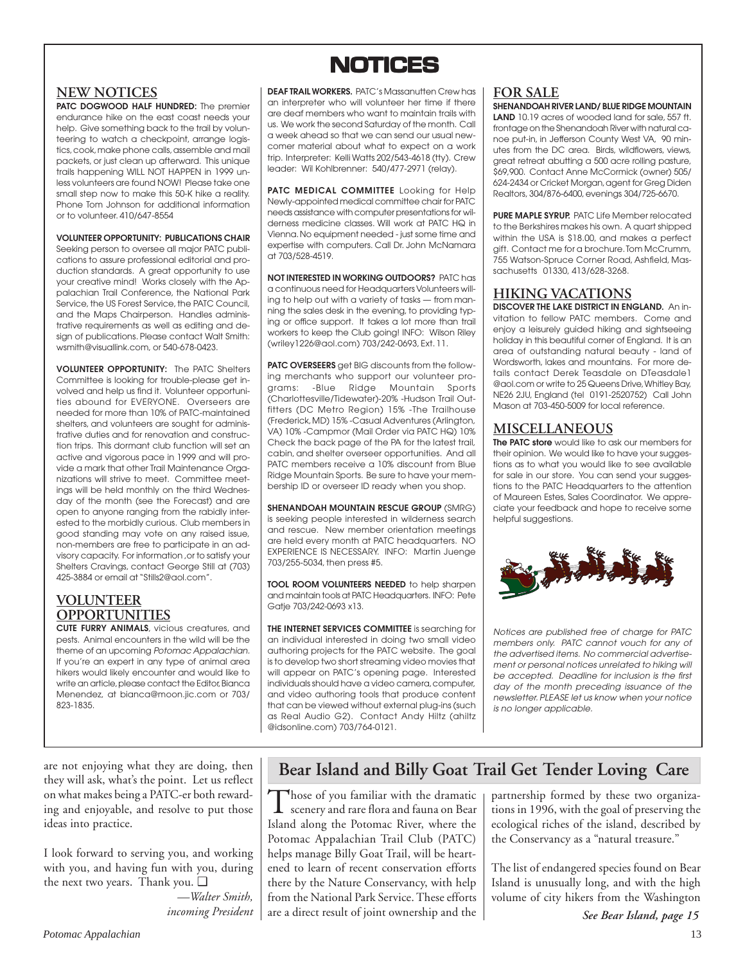## **NOTICES NOTICES**

## **NEW NOTICES**

**PATC DOGWOOD HALF HUNDRED:** The premier endurance hike on the east coast needs your help. Give something back to the trail by volunteering to watch a checkpoint, arrange logistics, cook, make phone calls, assemble and mail packets, or just clean up afterward. This unique trails happening WILL NOT HAPPEN in 1999 unless volunteers are found NOW! Please take one small step now to make this 50-K hike a reality. Phone Tom Johnson for additional information or to volunteer. 410/647-8554

**VOLUNTEER OPPORTUNITY: PUBLICATIONS CHAIR** Seeking person to oversee all major PATC publications to assure professional editorial and production standards. A great opportunity to use your creative mind! Works closely with the Appalachian Trail Conference, the National Park Service, the US Forest Service, the PATC Council, and the Maps Chairperson. Handles administrative requirements as well as editing and design of publications. Please contact Walt Smith: wsmith@visuallink.com, or 540-678-0423.

**VOLUNTEER OPPORTUNITY:** The PATC Shelters Committee is looking for trouble-please get involved and help us find it. Volunteer opportunities abound for EVERYONE. Overseers are needed for more than 10% of PATC-maintained shelters, and volunteers are sought for administrative duties and for renovation and construction trips. This dormant club function will set an active and vigorous pace in 1999 and will provide a mark that other Trail Maintenance Organizations will strive to meet. Committee meetings will be held monthly on the third Wednesday of the month (see the Forecast) and are open to anyone ranging from the rabidly interested to the morbidly curious. Club members in good standing may vote on any raised issue, non-members are free to participate in an advisory capacity. For information ,or to satisfy your Shelters Cravings, contact George Still at (703) 425-3884 or email at "Stills2@aol.com".

## **VOLUNTEER OPPORTUNITIES**

**CUTE FURRY ANIMALS**, vicious creatures, and pests. Animal encounters in the wild will be the theme of an upcoming Potomac Appalachian. If you're an expert in any type of animal area hikers would likely encounter and would like to write an article, please contact the Editor, Bianca Menendez, at bianca@moon.jic.com or 703/ 823-1835.

**DEAF TRAIL WORKERS.** PATC's Massanutten Crew has an interpreter who will volunteer her time if there are deaf members who want to maintain trails with us. We work the second Saturday of the month. Call a week ahead so that we can send our usual newcomer material about what to expect on a work trip. Interpreter: Kelli Watts 202/543-4618 (tty). Crew leader: Wil Kohlbrenner: 540/477-2971 (relay).

**PATC MEDICAL COMMITTEE** Looking for Help Newly-appointed medical committee chair for PATC needs assistance with computer presentations for wilderness medicine classes. Will work at PATC HQ in Vienna. No equipment needed - just some time and expertise with computers. Call Dr. John McNamara at 703/528-4519.

**NOT INTERESTED IN WORKING OUTDOORS?** PATC has a continuous need for Headquarters Volunteers willing to help out with a variety of tasks — from manning the sales desk in the evening, to providing typing or office support. It takes a lot more than trail workers to keep the Club going! INFO: Wilson Riley (wriley1226@aol.com) 703/242-0693, Ext. 11.

**PATC OVERSEERS** get BIG discounts from the following merchants who support our volunteer programs: -Blue Ridge Mountain Sports (Charlottesville/Tidewater)-20% -Hudson Trail Outfitters (DC Metro Region) 15% -The Trailhouse (Frederick, MD) 15% -Casual Adventures (Arlington, VA) 10% -Campmor (Mail Order via PATC HQ) 10% Check the back page of the PA for the latest trail, cabin, and shelter overseer opportunities. And all PATC members receive a 10% discount from Blue Ridge Mountain Sports. Be sure to have your membership ID or overseer ID ready when you shop.

**SHENANDOAH MOUNTAIN RESCUE GROUP** (SMRG) is seeking people interested in wilderness search and rescue. New member orientation meetings are held every month at PATC headquarters. NO EXPERIENCE IS NECESSARY. INFO: Martin Juenge 703/255-5034, then press #5.

**TOOL ROOM VOLUNTEERS NEEDED** to help sharpen and maintain tools at PATC Headquarters. INFO: Pete Gatje 703/242-0693 x13.

**THE INTERNET SERVICES COMMITTEE** is searching for an individual interested in doing two small video authoring projects for the PATC website. The goal is to develop two short streaming video movies that will appear on PATC's opening page. Interested individuals should have a video camera, computer, and video authoring tools that produce content that can be viewed without external plug-ins (such as Real Audio G2). Contact Andy Hiltz (ahiltz @idsonline.com) 703/764-0121.

## **FOR SALE**

**SHENANDOAH RIVER LAND/ BLUE RIDGE MOUNTAIN LAND** 10.19 acres of wooded land for sale, 557 ft. frontage on the Shenandoah River with natural canoe put-in, in Jefferson County West VA, 90 minutes from the DC area. Birds, wildflowers, views, great retreat abutting a 500 acre rolling pasture, \$69,900. Contact Anne McCormick (owner) 505/ 624-2434 or Cricket Morgan, agent for Greg Diden Realtors, 304/876-6400, evenings 304/725-6670.

**PURE MAPLE SYRUP.** PATC Life Member relocated to the Berkshires makes his own. A quart shipped within the USA is \$18.00, and makes a perfect gift. Contact me for a brochure. Tom McCrumm, 755 Watson-Spruce Corner Road, Ashfield, Massachusetts 01330, 413/628-3268.

## **HIKING VACATIONS**

**DISCOVER THE LAKE DISTRICT IN ENGLAND.** An invitation to fellow PATC members. Come and enjoy a leisurely guided hiking and sightseeing holiday in this beautiful corner of England. It is an area of outstanding natural beauty - land of Wordsworth, lakes and mountains. For more details contact Derek Teasdale on DTeasdale1 @aol.com or write to 25 Queens Drive, Whitley Bay, NE26 2JU, England (tel 0191-2520752) Call John Mason at 703-450-5009 for local reference.

## **MISCELLANEOUS**

**The PATC store** would like to ask our members for their opinion. We would like to have your suggestions as to what you would like to see available for sale in our store. You can send your suggestions to the PATC Headquarters to the attention of Maureen Estes, Sales Coordinator. We appreciate your feedback and hope to receive some helpful suggestions.



Notices are published free of charge for PATC members only. PATC cannot vouch for any of the advertised items. No commercial advertisement or personal notices unrelated to hiking will be accepted. Deadline for inclusion is the first day of the month preceding issuance of the newsletter. PLEASE let us know when your notice is no longer applicable.

are not enjoying what they are doing, then they will ask, what's the point. Let us reflect on what makes being a PATC-er both rewarding and enjoyable, and resolve to put those ideas into practice.

I look forward to serving you, and working with you, and having fun with you, during the next two years. Thank you. ❑

*—Walter Smith, incoming President*

## **Bear Island and Billy Goat Trail Get Tender Loving Care**

Those of you familiar with the dramatic<br>scenery and rare flora and fauna on Bear Island along the Potomac River, where the Potomac Appalachian Trail Club (PATC) helps manage Billy Goat Trail, will be heartened to learn of recent conservation efforts there by the Nature Conservancy, with help from the National Park Service. These efforts are a direct result of joint ownership and the partnership formed by these two organizations in 1996, with the goal of preserving the ecological riches of the island, described by the Conservancy as a "natural treasure."

The list of endangered species found on Bear Island is unusually long, and with the high volume of city hikers from the Washington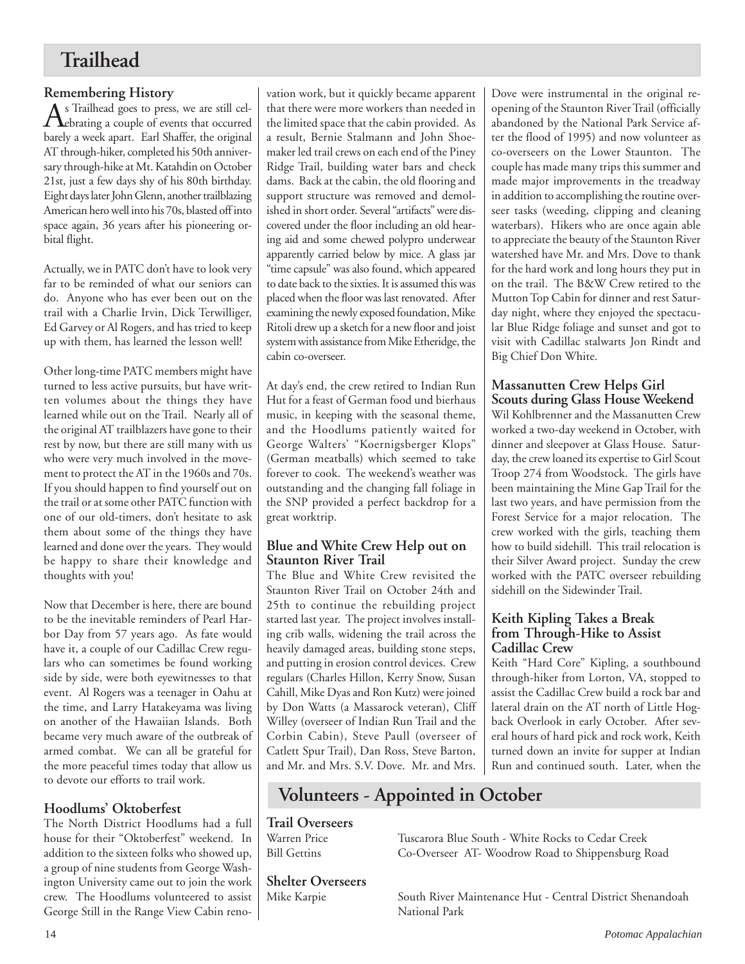## **Trailhead**

**Remembering History**<br> **A** s Trailhead goes to press, we are still cel- $\bigwedge$ <sub>s</sub> Trailhead goes to press, we are still celbarely a week apart. Earl Shaffer, the original AT through-hiker, completed his 50th anniversary through-hike at Mt. Katahdin on October 21st, just a few days shy of his 80th birthday. Eight days later John Glenn, another trailblazing American hero well into his 70s, blasted off into space again, 36 years after his pioneering orbital flight.

Actually, we in PATC don't have to look very far to be reminded of what our seniors can do. Anyone who has ever been out on the trail with a Charlie Irvin, Dick Terwilliger, Ed Garvey or Al Rogers, and has tried to keep up with them, has learned the lesson well!

Other long-time PATC members might have turned to less active pursuits, but have written volumes about the things they have learned while out on the Trail. Nearly all of the original AT trailblazers have gone to their rest by now, but there are still many with us who were very much involved in the movement to protect the AT in the 1960s and 70s. If you should happen to find yourself out on the trail or at some other PATC function with one of our old-timers, don't hesitate to ask them about some of the things they have learned and done over the years. They would be happy to share their knowledge and thoughts with you!

Now that December is here, there are bound to be the inevitable reminders of Pearl Harbor Day from 57 years ago. As fate would have it, a couple of our Cadillac Crew regulars who can sometimes be found working side by side, were both eyewitnesses to that event. Al Rogers was a teenager in Oahu at the time, and Larry Hatakeyama was living on another of the Hawaiian Islands. Both became very much aware of the outbreak of armed combat. We can all be grateful for the more peaceful times today that allow us to devote our efforts to trail work.

## **Hoodlums' Oktoberfest**

The North District Hoodlums had a full house for their "Oktoberfest" weekend. In addition to the sixteen folks who showed up, a group of nine students from George Washington University came out to join the work crew. The Hoodlums volunteered to assist George Still in the Range View Cabin reno-

vation work, but it quickly became apparent that there were more workers than needed in the limited space that the cabin provided. As a result, Bernie Stalmann and John Shoemaker led trail crews on each end of the Piney Ridge Trail, building water bars and check dams. Back at the cabin, the old flooring and support structure was removed and demolished in short order. Several "artifacts" were discovered under the floor including an old hearing aid and some chewed polypro underwear apparently carried below by mice. A glass jar "time capsule" was also found, which appeared to date back to the sixties. It is assumed this was placed when the floor was last renovated. After examining the newly exposed foundation, Mike Ritoli drew up a sketch for a new floor and joist system with assistance from Mike Etheridge, the cabin co-overseer.

At day's end, the crew retired to Indian Run Hut for a feast of German food und bierhaus music, in keeping with the seasonal theme, and the Hoodlums patiently waited for George Walters' "Koernigsberger Klops" (German meatballs) which seemed to take forever to cook. The weekend's weather was outstanding and the changing fall foliage in the SNP provided a perfect backdrop for a great worktrip.

## **Blue and White Crew Help out on Staunton River Trail**

The Blue and White Crew revisited the Staunton River Trail on October 24th and 25th to continue the rebuilding project started last year. The project involves installing crib walls, widening the trail across the heavily damaged areas, building stone steps, and putting in erosion control devices. Crew regulars (Charles Hillon, Kerry Snow, Susan Cahill, Mike Dyas and Ron Kutz) were joined by Don Watts (a Massarock veteran), Cliff Willey (overseer of Indian Run Trail and the Corbin Cabin), Steve Paull (overseer of Catlett Spur Trail), Dan Ross, Steve Barton, and Mr. and Mrs. S.V. Dove. Mr. and Mrs.

Dove were instrumental in the original reopening of the Staunton River Trail (officially abandoned by the National Park Service after the flood of 1995) and now volunteer as co-overseers on the Lower Staunton. The couple has made many trips this summer and made major improvements in the treadway in addition to accomplishing the routine overseer tasks (weeding, clipping and cleaning waterbars). Hikers who are once again able to appreciate the beauty of the Staunton River watershed have Mr. and Mrs. Dove to thank for the hard work and long hours they put in on the trail. The B&W Crew retired to the Mutton Top Cabin for dinner and rest Saturday night, where they enjoyed the spectacular Blue Ridge foliage and sunset and got to visit with Cadillac stalwarts Jon Rindt and Big Chief Don White.

## **Massanutten Crew Helps Girl Scouts during Glass House Weekend**

Wil Kohlbrenner and the Massanutten Crew worked a two-day weekend in October, with dinner and sleepover at Glass House. Saturday, the crew loaned its expertise to Girl Scout Troop 274 from Woodstock. The girls have been maintaining the Mine Gap Trail for the last two years, and have permission from the Forest Service for a major relocation. The crew worked with the girls, teaching them how to build sidehill. This trail relocation is their Silver Award project. Sunday the crew worked with the PATC overseer rebuilding sidehill on the Sidewinder Trail.

## **Keith Kipling Takes a Break from Through-Hike to Assist Cadillac Crew**

Keith "Hard Core" Kipling, a southbound through-hiker from Lorton, VA, stopped to assist the Cadillac Crew build a rock bar and lateral drain on the AT north of Little Hogback Overlook in early October. After several hours of hard pick and rock work, Keith turned down an invite for supper at Indian Run and continued south. Later, when the

## **Volunteers - Appointed in October**

**Trail Overseers**

**Shelter Overseers**

Tuscarora Blue South - White Rocks to Cedar Creek Bill Gettins Co-Overseer AT- Woodrow Road to Shippensburg Road

> South River Maintenance Hut - Central District Shenandoah National Park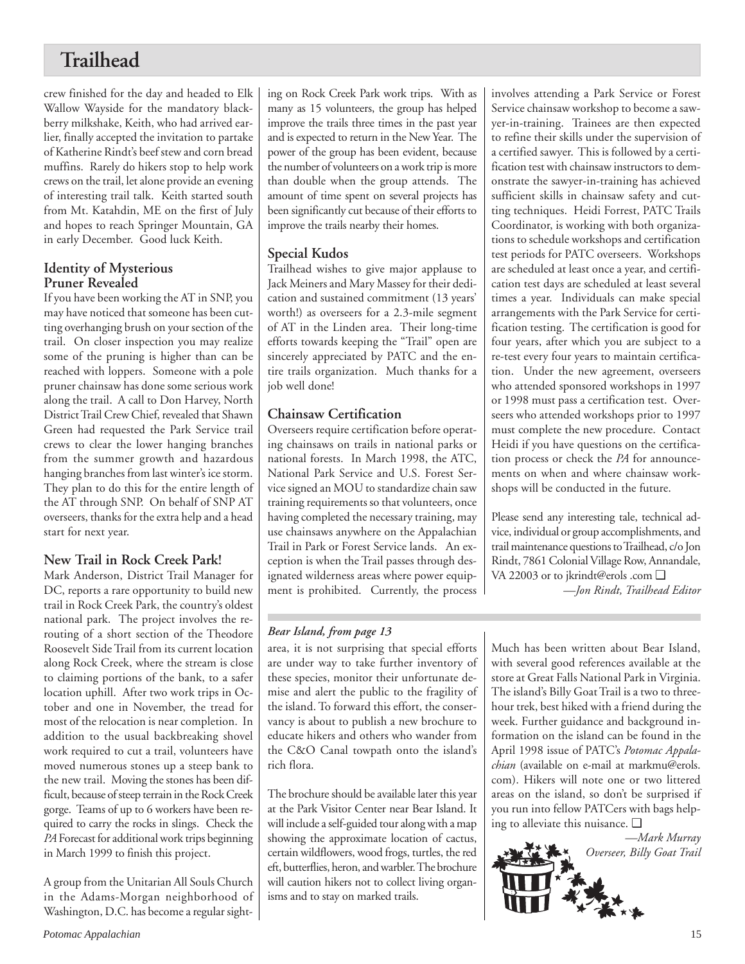## **Trailhead**

crew finished for the day and headed to Elk Wallow Wayside for the mandatory blackberry milkshake, Keith, who had arrived earlier, finally accepted the invitation to partake of Katherine Rindt's beef stew and corn bread muffins. Rarely do hikers stop to help work crews on the trail, let alone provide an evening of interesting trail talk. Keith started south from Mt. Katahdin, ME on the first of July and hopes to reach Springer Mountain, GA in early December. Good luck Keith.

## **Identity of Mysterious Pruner Revealed**

If you have been working the AT in SNP, you may have noticed that someone has been cutting overhanging brush on your section of the trail. On closer inspection you may realize some of the pruning is higher than can be reached with loppers. Someone with a pole pruner chainsaw has done some serious work along the trail. A call to Don Harvey, North District Trail Crew Chief, revealed that Shawn Green had requested the Park Service trail crews to clear the lower hanging branches from the summer growth and hazardous hanging branches from last winter's ice storm. They plan to do this for the entire length of the AT through SNP. On behalf of SNP AT overseers, thanks for the extra help and a head start for next year.

## **New Trail in Rock Creek Park!**

Mark Anderson, District Trail Manager for DC, reports a rare opportunity to build new trail in Rock Creek Park, the country's oldest national park. The project involves the rerouting of a short section of the Theodore Roosevelt Side Trail from its current location along Rock Creek, where the stream is close to claiming portions of the bank, to a safer location uphill. After two work trips in October and one in November, the tread for most of the relocation is near completion. In addition to the usual backbreaking shovel work required to cut a trail, volunteers have moved numerous stones up a steep bank to the new trail. Moving the stones has been difficult, because of steep terrain in the Rock Creek gorge. Teams of up to 6 workers have been required to carry the rocks in slings. Check the *PA* Forecast for additional work trips beginning in March 1999 to finish this project.

A group from the Unitarian All Souls Church in the Adams-Morgan neighborhood of Washington, D.C. has become a regular sighting on Rock Creek Park work trips. With as many as 15 volunteers, the group has helped improve the trails three times in the past year and is expected to return in the New Year. The power of the group has been evident, because the number of volunteers on a work trip is more than double when the group attends. The amount of time spent on several projects has been significantly cut because of their efforts to improve the trails nearby their homes.

## **Special Kudos**

Trailhead wishes to give major applause to Jack Meiners and Mary Massey for their dedication and sustained commitment (13 years' worth!) as overseers for a 2.3-mile segment of AT in the Linden area. Their long-time efforts towards keeping the "Trail" open are sincerely appreciated by PATC and the entire trails organization. Much thanks for a job well done!

## **Chainsaw Certification**

Overseers require certification before operating chainsaws on trails in national parks or national forests. In March 1998, the ATC, National Park Service and U.S. Forest Service signed an MOU to standardize chain saw training requirements so that volunteers, once having completed the necessary training, may use chainsaws anywhere on the Appalachian Trail in Park or Forest Service lands. An exception is when the Trail passes through designated wilderness areas where power equipment is prohibited. Currently, the process

## *Bear Island, from page 13*

area, it is not surprising that special efforts are under way to take further inventory of these species, monitor their unfortunate demise and alert the public to the fragility of the island. To forward this effort, the conservancy is about to publish a new brochure to educate hikers and others who wander from the C&O Canal towpath onto the island's rich flora.

The brochure should be available later this year at the Park Visitor Center near Bear Island. It will include a self-guided tour along with a map showing the approximate location of cactus, certain wildflowers, wood frogs, turtles, the red eft, butterflies, heron, and warbler. The brochure will caution hikers not to collect living organisms and to stay on marked trails.

involves attending a Park Service or Forest Service chainsaw workshop to become a sawyer-in-training. Trainees are then expected to refine their skills under the supervision of a certified sawyer. This is followed by a certification test with chainsaw instructors to demonstrate the sawyer-in-training has achieved sufficient skills in chainsaw safety and cutting techniques. Heidi Forrest, PATC Trails Coordinator, is working with both organizations to schedule workshops and certification test periods for PATC overseers. Workshops are scheduled at least once a year, and certification test days are scheduled at least several times a year. Individuals can make special arrangements with the Park Service for certification testing. The certification is good for four years, after which you are subject to a re-test every four years to maintain certification. Under the new agreement, overseers who attended sponsored workshops in 1997 or 1998 must pass a certification test. Overseers who attended workshops prior to 1997 must complete the new procedure. Contact Heidi if you have questions on the certification process or check the *PA* for announcements on when and where chainsaw workshops will be conducted in the future.

Please send any interesting tale, technical advice, individual or group accomplishments, and trail maintenance questions to Trailhead, c/o Jon Rindt, 7861 Colonial Village Row, Annandale, VA 22003 or to jkrindt@erols .com ❑ *—Jon Rindt, Trailhead Editor*

Much has been written about Bear Island, with several good references available at the store at Great Falls National Park in Virginia. The island's Billy Goat Trail is a two to threehour trek, best hiked with a friend during the week. Further guidance and background information on the island can be found in the April 1998 issue of PATC's *Potomac Appalachian* (available on e-mail at markmu@erols. com). Hikers will note one or two littered areas on the island, so don't be surprised if you run into fellow PATCers with bags helping to alleviate this nuisance. ❑